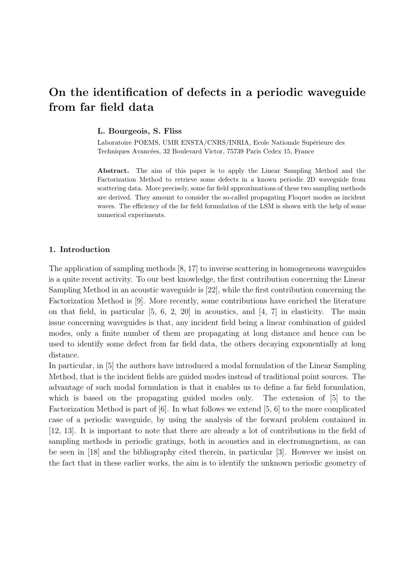# On the identification of defects in a periodic waveguide from far field data

L. Bourgeois, S. Fliss

Laboratoire POEMS, UMR ENSTA/CNRS/INRIA, Ecole Nationale Supérieure des Techniques Avancées, 32 Boulevard Victor, 75739 Paris Cedex 15, France

Abstract. The aim of this paper is to apply the Linear Sampling Method and the Factorization Method to retrieve some defects in a known periodic 2D waveguide from scattering data. More precisely, some far field approximations of these two sampling methods are derived. They amount to consider the so-called propagating Floquet modes as incident waves. The efficiency of the far field formulation of the LSM is shown with the help of some numerical experiments.

# 1. Introduction

The application of sampling methods [8, 17] to inverse scattering in homogeneous waveguides is a quite recent activity. To our best knowledge, the first contribution concerning the Linear Sampling Method in an acoustic waveguide is [22], while the first contribution concerning the Factorization Method is [9]. More recently, some contributions have enriched the literature on that field, in particular [5, 6, 2, 20] in acoustics, and [4, 7] in elasticity. The main issue concerning waveguides is that, any incident field being a linear combination of guided modes, only a finite number of them are propagating at long distance and hence can be used to identify some defect from far field data, the others decaying exponentially at long distance.

In particular, in [5] the authors have introduced a modal formulation of the Linear Sampling Method, that is the incident fields are guided modes instead of traditional point sources. The advantage of such modal formulation is that it enables us to define a far field formulation, which is based on the propagating guided modes only. The extension of [5] to the Factorization Method is part of [6]. In what follows we extend [5, 6] to the more complicated case of a periodic waveguide, by using the analysis of the forward problem contained in [12, 13]. It is important to note that there are already a lot of contributions in the field of sampling methods in periodic gratings, both in acoustics and in electromagnetism, as can be seen in [18] and the bibliography cited therein, in particular [3]. However we insist on the fact that in these earlier works, the aim is to identify the unknown periodic geometry of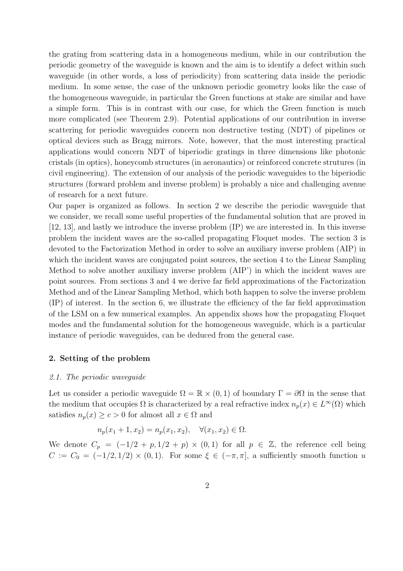the grating from scattering data in a homogeneous medium, while in our contribution the periodic geometry of the waveguide is known and the aim is to identify a defect within such waveguide (in other words, a loss of periodicity) from scattering data inside the periodic medium. In some sense, the case of the unknown periodic geometry looks like the case of the homogeneous waveguide, in particular the Green functions at stake are similar and have a simple form. This is in contrast with our case, for which the Green function is much more complicated (see Theorem 2.9). Potential applications of our contribution in inverse scattering for periodic waveguides concern non destructive testing (NDT) of pipelines or optical devices such as Bragg mirrors. Note, however, that the most interesting practical applications would concern NDT of biperiodic gratings in three dimensions like photonic cristals (in optics), honeycomb structures (in aeronautics) or reinforced concrete strutures (in civil engineering). The extension of our analysis of the periodic waveguides to the biperiodic structures (forward problem and inverse problem) is probably a nice and challenging avenue of research for a next future.

Our paper is organized as follows. In section 2 we describe the periodic waveguide that we consider, we recall some useful properties of the fundamental solution that are proved in [12, 13], and lastly we introduce the inverse problem (IP) we are interested in. In this inverse problem the incident waves are the so-called propagating Floquet modes. The section 3 is devoted to the Factorization Method in order to solve an auxiliary inverse problem (AIP) in which the incident waves are conjugated point sources, the section 4 to the Linear Sampling Method to solve another auxiliary inverse problem (AIP') in which the incident waves are point sources. From sections 3 and 4 we derive far field approximations of the Factorization Method and of the Linear Sampling Method, which both happen to solve the inverse problem (IP) of interest. In the section 6, we illustrate the efficiency of the far field approximation of the LSM on a few numerical examples. An appendix shows how the propagating Floquet modes and the fundamental solution for the homogeneous waveguide, which is a particular instance of periodic waveguides, can be deduced from the general case.

# 2. Setting of the problem

#### 2.1. The periodic waveguide

Let us consider a periodic waveguide  $\Omega = \mathbb{R} \times (0, 1)$  of boundary  $\Gamma = \partial \Omega$  in the sense that the medium that occupies  $\Omega$  is characterized by a real refractive index  $n_p(x) \in L^{\infty}(\Omega)$  which satisfies  $n_p(x) \ge c > 0$  for almost all  $x \in \Omega$  and

$$
n_p(x_1 + 1, x_2) = n_p(x_1, x_2), \quad \forall (x_1, x_2) \in \Omega.
$$

We denote  $C_p = (-1/2 + p, 1/2 + p) \times (0, 1)$  for all  $p \in \mathbb{Z}$ , the reference cell being  $C := C_0 = (-1/2, 1/2) \times (0, 1)$ . For some  $\xi \in (-\pi, \pi]$ , a sufficiently smooth function u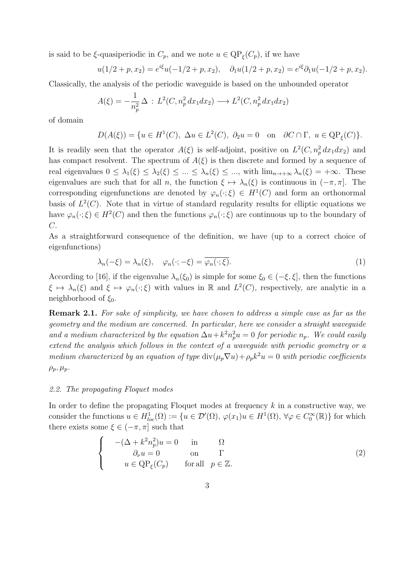is said to be  $\xi$ -quasiperiodic in  $C_p$ , and we note  $u \in \mathrm{QP}_{\xi}(C_p)$ , if we have

$$
u(1/2+p,x_2) = e^{i\xi}u(-1/2+p,x_2), \quad \partial_1u(1/2+p,x_2) = e^{i\xi}\partial_1u(-1/2+p,x_2).
$$

Classically, the analysis of the periodic waveguide is based on the unbounded operator

$$
A(\xi) = -\frac{1}{n_p^2} \Delta : L^2(C, n_p^2 dx_1 dx_2) \longrightarrow L^2(C, n_p^2 dx_1 dx_2)
$$

of domain

$$
D(A(\xi)) = \{ u \in H^1(C), \ \Delta u \in L^2(C), \ \partial_2 u = 0 \quad \text{on} \quad \partial C \cap \Gamma, \ u \in \mathbb{Q}P_{\xi}(C) \}.
$$

It is readily seen that the operator  $A(\xi)$  is self-adjoint, positive on  $L^2(C, n_p^2 dx_1 dx_2)$  and has compact resolvent. The spectrum of  $A(\xi)$  is then discrete and formed by a sequence of real eigenvalues  $0 \leq \lambda_1(\xi) \leq \lambda_2(\xi) \leq ... \leq \lambda_n(\xi) \leq ...$ , with  $\lim_{n\to+\infty} \lambda_n(\xi) = +\infty$ . These eigenvalues are such that for all n, the function  $\xi \mapsto \lambda_n(\xi)$  is continuous in  $(-\pi, \pi]$ . The corresponding eigenfunctions are denoted by  $\varphi_n(\cdot;\xi) \in H^1(C)$  and form an orthonormal basis of  $L^2(C)$ . Note that in virtue of standard regularity results for elliptic equations we have  $\varphi_n(\cdot;\xi) \in H^2(C)$  and then the functions  $\varphi_n(\cdot;\xi)$  are continuous up to the boundary of C.

As a straightforward consequence of the definition, we have (up to a correct choice of eigenfunctions)

$$
\lambda_n(-\xi) = \lambda_n(\xi), \quad \varphi_n(\cdot; -\xi) = \overline{\varphi_n(\cdot; \xi)}.
$$
 (1)

According to [16], if the eigenvalue  $\lambda_n(\xi_0)$  is simple for some  $\xi_0 \in (-\xi, \xi]$ , then the functions  $\xi \mapsto \lambda_n(\xi)$  and  $\xi \mapsto \varphi_n(\cdot;\xi)$  with values in R and  $L^2(C)$ , respectively, are analytic in a neighborhood of  $\xi_0$ .

Remark 2.1. For sake of simplicity, we have chosen to address a simple case as far as the geometry and the medium are concerned. In particular, here we consider a straight waveguide and a medium characterized by the equation  $\Delta u + k^2 n_p^2 u = 0$  for periodic  $n_p$ . We could easily extend the analysis which follows in the context of a waveguide with periodic geometry or a medium characterized by an equation of type  $\text{div}(\mu_p \nabla u) + \rho_p k^2 u = 0$  with periodic coefficients  $\rho_p, \mu_p.$ 

### 2.2. The propagating Floquet modes

In order to define the propagating Floquet modes at frequency  $k$  in a constructive way, we consider the functions  $u \in H^1_{loc}(\Omega) := \{u \in \mathcal{D}'(\Omega), \varphi(x_1)u \in H^1(\Omega), \forall \varphi \in C_0^{\infty}(\mathbb{R})\}$  for which there exists some  $\xi \in (-\pi, \pi]$  such that

$$
\begin{cases}\n-(\Delta + k^2 n_p^2)u = 0 & \text{in} \\
\partial_\nu u = 0 & \text{on} \\
u \in \mathcal{Q}P_\xi(C_p) & \text{for all} \quad p \in \mathbb{Z}.\n\end{cases}
$$
\n(2)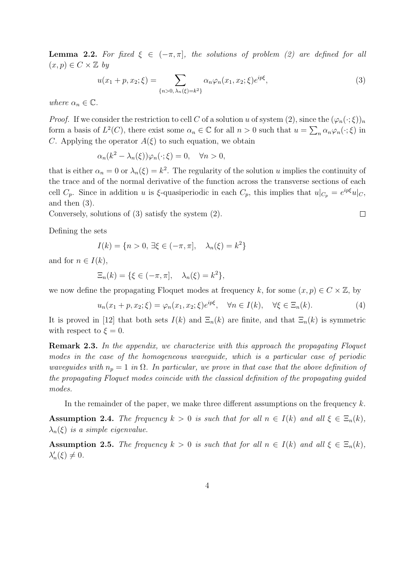**Lemma 2.2.** For fixed  $\xi \in (-\pi, \pi]$ , the solutions of problem (2) are defined for all  $(x, p) \in C \times \mathbb{Z}$  by

$$
u(x_1 + p, x_2; \xi) = \sum_{\{n > 0, \lambda_n(\xi) = k^2\}} \alpha_n \varphi_n(x_1, x_2; \xi) e^{ip\xi},\tag{3}
$$

where  $\alpha_n \in \mathbb{C}$ .

*Proof.* If we consider the restriction to cell C of a solution u of system  $(2)$ , since the  $(\varphi_n(\cdot;\xi))_n$ form a basis of  $L^2(C)$ , there exist some  $\alpha_n \in \mathbb{C}$  for all  $n > 0$  such that  $u = \sum_n \alpha_n \varphi_n(\cdot; \xi)$  in C. Applying the operator  $A(\xi)$  to such equation, we obtain

$$
\alpha_n(k^2 - \lambda_n(\xi))\varphi_n(\cdot;\xi) = 0, \quad \forall n > 0,
$$

that is either  $\alpha_n = 0$  or  $\lambda_n(\xi) = k^2$ . The regularity of the solution u implies the continuity of the trace and of the normal derivative of the function across the transverse sections of each cell  $C_p$ . Since in addition u is  $\xi$ -quasiperiodic in each  $C_p$ , this implies that  $u|_{C_p} = e^{ip\xi}u|_{C_p}$ , and then (3).

Conversely, solutions of (3) satisfy the system (2).

Defining the sets

$$
I(k) = \{n > 0, \, \exists \xi \in (-\pi, \pi], \quad \lambda_n(\xi) = k^2\}
$$

and for  $n \in I(k)$ ,

$$
\Xi_n(k) = \{ \xi \in (-\pi, \pi], \quad \lambda_n(\xi) = k^2 \},
$$

we now define the propagating Floquet modes at frequency k, for some  $(x, p) \in C \times \mathbb{Z}$ , by

$$
u_n(x_1 + p, x_2; \xi) = \varphi_n(x_1, x_2; \xi) e^{ip\xi}, \quad \forall n \in I(k), \quad \forall \xi \in \Xi_n(k).
$$
 (4)

 $\Box$ 

It is proved in [12] that both sets  $I(k)$  and  $\Xi_n(k)$  are finite, and that  $\Xi_n(k)$  is symmetric with respect to  $\xi = 0$ .

Remark 2.3. In the appendix, we characterize with this approach the propagating Floquet modes in the case of the homogeneous waveguide, which is a particular case of periodic waveguides with  $n_p = 1$  in  $\Omega$ . In particular, we prove in that case that the above definition of the propagating Floquet modes coincide with the classical definition of the propagating guided modes.

In the remainder of the paper, we make three different assumptions on the frequency  $k$ .

Assumption 2.4. The frequency  $k > 0$  is such that for all  $n \in I(k)$  and all  $\xi \in \Xi_n(k)$ ,  $\lambda_n(\xi)$  is a simple eigenvalue.

**Assumption 2.5.** The frequency  $k > 0$  is such that for all  $n \in I(k)$  and all  $\xi \in \Xi_n(k)$ ,  $\lambda'_n(\xi) \neq 0.$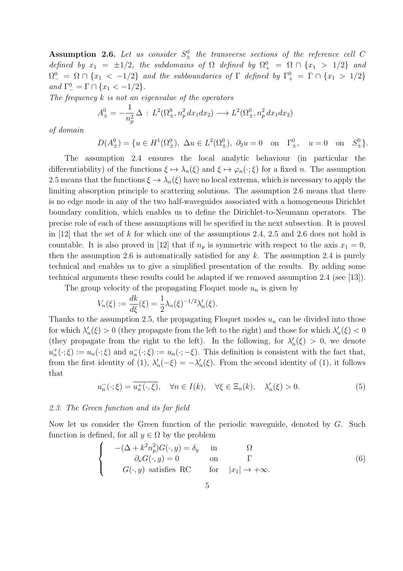**Assumption 2.6.** Let us consider  $S^0_{\pm}$  the transverse sections of the reference cell C defined by  $x_1 = \pm 1/2$ , the subdomains of  $\Omega$  defined by  $\Omega_{+}^{0} = \Omega \cap \{x_1 > 1/2\}$  and  $\Omega_{-}^0 = \Omega \cap \{x_1 < -1/2\}$  and the subboundaries of  $\Gamma$  defined by  $\Gamma_{+}^0 = \Gamma \cap \{x_1 > 1/2\}$ and  $\Gamma_-^0 = \Gamma \cap \{x_1 < -1/2\}.$ 

The frequency  $k$  is not an eigenvalue of the operators

$$
A_{\pm}^{0} = -\frac{1}{n_p^2} \Delta : L^2(\Omega_{\pm}^0, n_p^2 dx_1 dx_2) \longrightarrow L^2(\Omega_{\pm}^0, n_p^2 dx_1 dx_2)
$$

of domain

$$
D(A_{\pm}^0) = \{u \in H^1(\Omega_{\pm}^0), \ \Delta u \in L^2(\Omega_{\pm}^0), \ \partial_2 u = 0 \text{ on } \Gamma_{\pm}^0, \ u = 0 \text{ on } S_{\pm}^0\}.
$$

The assumption 2.4 ensures the local analytic behaviour (in particular the differentiability) of the functions  $\xi \mapsto \lambda_n(\xi)$  and  $\xi \mapsto \varphi_n(\cdot;\xi)$  for a fixed n. The assumption 2.5 means that the functions  $\xi \to \lambda_n(\xi)$  have no local extrema, which is necessary to apply the limiting absorption principle to scattering solutions. The assumption 2.6 means that there is no edge mode in any of the two half-waveguides associated with a homogeneous Dirichlet boundary condition, which enables us to define the Dirichlet-to-Neumann operators. The precise role of each of these assumptions will be specified in the next subsection. It is proved in  $[12]$  that the set of k for which one of the assumptions 2.4, 2.5 and 2.6 does not hold is countable. It is also proved in [12] that if  $n_p$  is symmetric with respect to the axis  $x_1 = 0$ , then the assumption 2.6 is automatically satisfied for any  $k$ . The assumption 2.4 is purely technical and enables us to give a simplified presentation of the results. By adding some technical arguments these results could be adapted if we removed assumption 2.4 (see [13]).

The group velocity of the propagating Floquet mode  $u_n$  is given by

$$
V_n(\xi) := \frac{dk}{d\xi}(\xi) = \frac{1}{2}\lambda_n(\xi)^{-1/2}\lambda'_n(\xi).
$$

Thanks to the assumption 2.5, the propagating Floquet modes  $u_n$  can be divided into those for which  $\lambda'_n(\xi) > 0$  (they propagate from the left to the right) and those for which  $\lambda'_n(\xi) < 0$ (they propagate from the right to the left). In the following, for  $\lambda'_n(\xi) > 0$ , we denote  $u_n^+(\cdot;\xi) := u_n(\cdot;\xi)$  and  $u_n^-(\cdot;\xi) := u_n(\cdot;-\xi)$ . This definition is consistent with the fact that, from the first identity of (1),  $\lambda'_n(-\xi) = -\lambda'_n(\xi)$ . From the second identity of (1), it follows that

$$
u_n^-(\cdot;\xi) = \overline{u_n^+(\cdot,\xi)}, \quad \forall n \in I(k), \quad \forall \xi \in \Xi_n(k), \quad \lambda_n'(\xi) > 0.
$$
 (5)

### 2.3. The Green function and its far field

Now let us consider the Green function of the periodic waveguide, denoted by G. Such function is defined, for all  $y \in \Omega$  by the problem

$$
\begin{cases}\n-(\Delta + k^2 n_p^2) G(\cdot, y) = \delta_y & \text{in} \\
\partial_\nu G(\cdot, y) = 0 & \text{on} \\
G(\cdot, y) & \text{satisfies RC} \n\end{cases}\n\text{ for } |x_1| \to +\infty.
$$
\n(6)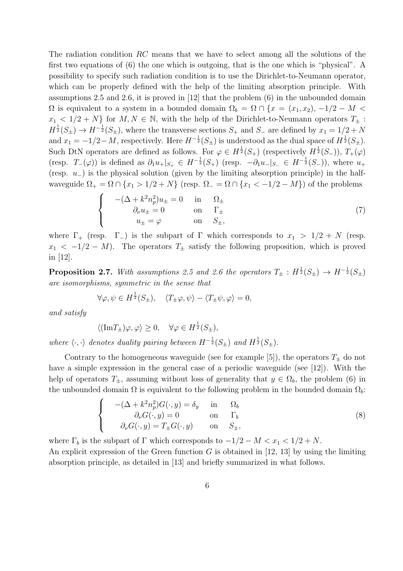The radiation condition RC means that we have to select among all the solutions of the first two equations of (6) the one which is outgoing, that is the one which is "physical". A possibility to specify such radiation condition is to use the Dirichlet-to-Neumann operator, which can be properly defined with the help of the limiting absorption principle. With assumptions 2.5 and 2.6, it is proved in [12] that the problem (6) in the unbounded domain  $\Omega$  is equivalent to a system in a bounded domain  $\Omega_b = \Omega \cap \{x = (x_1, x_2), -1/2 - M \leq \Omega\}$  $x_1 < 1/2 + N$  for  $M, N \in \mathbb{N}$ , with the help of the Dirichlet-to-Neumann operators  $T_{\pm}$ :  $H^{\frac{1}{2}}(S_{\pm}) \to H^{-\frac{1}{2}}(S_{\pm}),$  where the transverse sections  $S_+$  and  $S_-$  are defined by  $x_1 = 1/2 + N$ and  $x_1 = -1/2 - M$ , respectively. Here  $H^{-\frac{1}{2}}(S_{\pm})$  is understood as the dual space of  $H^{\frac{1}{2}}(S_{\pm})$ . Such DtN operators are defined as follows. For  $\varphi \in H^{\frac{1}{2}}(S_+)$  (respectively  $H^{\frac{1}{2}}(S_-)$ ),  $T_+(\varphi)$ (resp.  $T_-(\varphi)$ ) is defined as  $\partial_1 u_+|_{S_+} \in H^{-\frac{1}{2}}(S_+)$  (resp.  $-\partial_1 u_-|_{S_-} \in H^{-\frac{1}{2}}(S_-)$ ), where  $u_+$ (resp. u−) is the physical solution (given by the limiting absorption principle) in the halfwaveguide  $\Omega_+ = \Omega \cap \{x_1 > 1/2 + N\}$  (resp.  $\Omega_- = \Omega \cap \{x_1 < -1/2 - M\}$ ) of the problems

$$
\begin{cases}\n-(\Delta + k^2 n_p^2) u_{\pm} = 0 & \text{in} \quad \Omega_{\pm} \\
\partial_\nu u_{\pm} = 0 & \text{on} \quad \Gamma_{\pm} \\
u_{\pm} = \varphi & \text{on} \quad S_{\pm},\n\end{cases} (7)
$$

where  $\Gamma_+$  (resp.  $\Gamma_-$ ) is the subpart of  $\Gamma$  which corresponds to  $x_1 > 1/2 + N$  (resp.  $x_1 < -1/2 - M$ ). The operators  $T_{\pm}$  satisfy the following proposition, which is proved in [12].

**Proposition 2.7.** With assumptions 2.5 and 2.6 the operators  $T_{\pm}$  :  $H^{\frac{1}{2}}(S_{\pm}) \rightarrow H^{-\frac{1}{2}}(S_{\pm})$ are isomorphisms, symmetric in the sense that

$$
\forall \varphi, \psi \in H^{\frac{1}{2}}(S_{\pm}), \quad \langle T_{\pm} \varphi, \psi \rangle - \langle T_{\pm} \psi, \varphi \rangle = 0,
$$

and satisfy

$$
\langle (\text{Im} T_{\pm}) \varphi, \varphi \rangle \ge 0, \quad \forall \varphi \in H^{\frac{1}{2}}(S_{\pm}),
$$

where  $\langle \cdot, \cdot \rangle$  denotes duality pairing between  $H^{-\frac{1}{2}}(S_{\pm})$  and  $H^{\frac{1}{2}}(S_{\pm})$ .

Contrary to the homogeneous waveguide (see for example [5]), the operators  $T_{\pm}$  do not have a simple expression in the general case of a periodic waveguide (see [12]). With the help of operators  $T_{\pm}$ , assuming without loss of generality that  $y \in \Omega_b$ , the problem (6) in the unbounded domain  $\Omega$  is equivalent to the following problem in the bounded domain  $\Omega_b$ :

$$
\begin{cases}\n-(\Delta + k^2 n_p^2) G(\cdot, y) = \delta_y & \text{in} \quad \Omega_b \\
\partial_\nu G(\cdot, y) = 0 & \text{on} \quad \Gamma_b \\
\partial_\nu G(\cdot, y) = T_\pm G(\cdot, y) & \text{on} \quad S_\pm,\n\end{cases}
$$
\n(8)

where  $\Gamma_b$  is the subpart of  $\Gamma$  which corresponds to  $-1/2 - M < x_1 < 1/2 + N$ .

An explicit expression of the Green function  $G$  is obtained in [12, 13] by using the limiting absorption principle, as detailed in [13] and briefly summarized in what follows.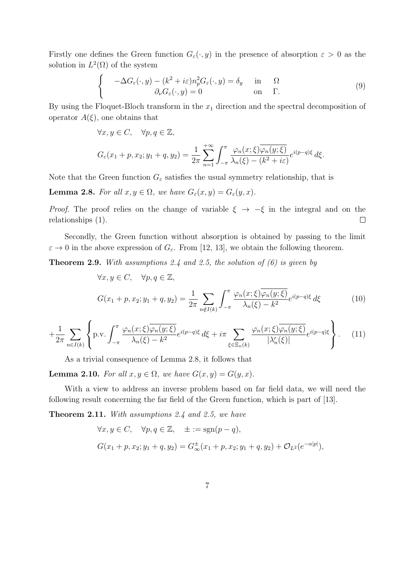Firstly one defines the Green function  $G_{\varepsilon}(\cdot, y)$  in the presence of absorption  $\varepsilon > 0$  as the solution in  $L^2(\Omega)$  of the system

$$
\begin{cases}\n-\Delta G_{\varepsilon}(\cdot, y) - (k^2 + i\varepsilon)n_p^2 G_{\varepsilon}(\cdot, y) = \delta_y & \text{in} \quad \Omega \\
\partial_\nu G_{\varepsilon}(\cdot, y) = 0 & \text{on} \quad \Gamma.\n\end{cases} \tag{9}
$$

By using the Floquet-Bloch transform in the  $x_1$  direction and the spectral decomposition of operator  $A(\xi)$ , one obtains that

$$
\forall x, y \in C, \quad \forall p, q \in \mathbb{Z},
$$
  

$$
G_{\varepsilon}(x_1 + p, x_2; y_1 + q, y_2) = \frac{1}{2\pi} \sum_{n=1}^{+\infty} \int_{-\pi}^{\pi} \frac{\varphi_n(x; \xi) \overline{\varphi_n(y; \xi)}}{\lambda_n(\xi) - (k^2 + i\varepsilon)} e^{i(p-q)\xi} d\xi.
$$

Note that the Green function  $G_{\varepsilon}$  satisfies the usual symmetry relationship, that is

**Lemma 2.8.** For all  $x, y \in \Omega$ , we have  $G_{\varepsilon}(x, y) = G_{\varepsilon}(y, x)$ .

*Proof.* The proof relies on the change of variable  $\xi \rightarrow -\xi$  in the integral and on the relationships (1).  $\Box$ 

Secondly, the Green function without absorption is obtained by passing to the limit  $\varepsilon \to 0$  in the above expression of  $G_{\varepsilon}$ . From [12, 13], we obtain the following theorem.

**Theorem 2.9.** With assumptions 2.4 and 2.5, the solution of  $(6)$  is given by

$$
\forall x, y \in C, \quad \forall p, q \in \mathbb{Z},
$$
  

$$
G(x_1 + p, x_2; y_1 + q, y_2) = \frac{1}{2\pi} \sum_{n \notin I(k)} \int_{-\pi}^{\pi} \frac{\varphi_n(x; \xi) \overline{\varphi_n(y; \xi)}}{\lambda_n(\xi) - k^2} e^{i(p-q)\xi} d\xi
$$
 (10)

$$
+\frac{1}{2\pi}\sum_{n\in I(k)}\left\{\text{p.v.}\int_{-\pi}^{\pi}\frac{\varphi_n(x;\xi)\overline{\varphi_n(y;\xi)}}{\lambda_n(\xi)-k^2}e^{i(p-q)\xi}\,d\xi+i\pi\sum_{\xi\in\Xi_n(k)}\frac{\varphi_n(x;\xi)\overline{\varphi_n(y;\xi)}}{|\lambda'_n(\xi)|}e^{i(p-q)\xi}\right\}.\tag{11}
$$

As a trivial consequence of Lemma 2.8, it follows that

**Lemma 2.10.** For all  $x, y \in \Omega$ , we have  $G(x, y) = G(y, x)$ .

With a view to address an inverse problem based on far field data, we will need the following result concerning the far field of the Green function, which is part of [13].

Theorem 2.11. With assumptions 2.4 and 2.5, we have

$$
\forall x, y \in C, \quad \forall p, q \in \mathbb{Z}, \quad \pm := \text{sgn}(p - q),
$$
  

$$
G(x_1 + p, x_2; y_1 + q, y_2) = G^{\pm}_{\infty}(x_1 + p, x_2; y_1 + q, y_2) + \mathcal{O}_{L^2}(e^{-\alpha|p|}),
$$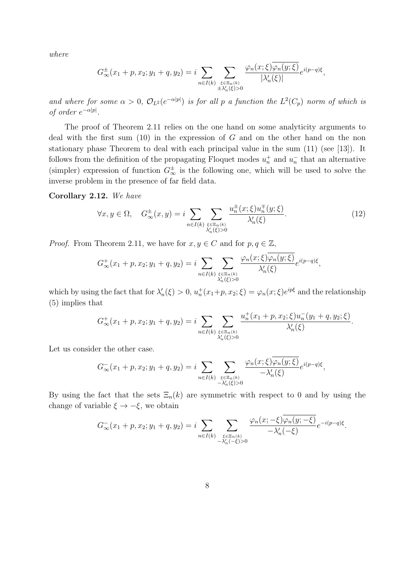where

$$
G_{\infty}^{\pm}(x_1+p,x_2;y_1+q,y_2)=i\sum_{n\in I(k)}\sum_{\substack{\xi\in\Xi_n(k)\\ \pm\lambda'_n(\xi)>0}}\frac{\varphi_n(x;\xi)\overline{\varphi_n(y;\xi)}}{|\lambda'_n(\xi)|}e^{i(p-q)\xi},
$$

and where for some  $\alpha > 0$ ,  $\mathcal{O}_{L^2}(e^{-\alpha|p|})$  is for all p a function the  $L^2(C_p)$  norm of which is of order  $e^{-\alpha|p|}$ .

The proof of Theorem 2.11 relies on the one hand on some analyticity arguments to deal with the first sum  $(10)$  in the expression of G and on the other hand on the non stationary phase Theorem to deal with each principal value in the sum (11) (see [13]). It follows from the definition of the propagating Floquet modes  $u_n^+$  and  $u_n^-$  that an alternative (simpler) expression of function  $G_{\infty}^{\pm}$  is the following one, which will be used to solve the inverse problem in the presence of far field data.

#### Corollary 2.12. We have

$$
\forall x, y \in \Omega, \quad G_{\infty}^{\pm}(x, y) = i \sum_{n \in I(k)} \sum_{\substack{\xi \in \Xi_n(k) \\ \lambda_n'(\xi) > 0}} \frac{u_n^{\pm}(x; \xi) u_n^{\mp}(y; \xi)}{\lambda_n'(\xi)}.
$$
\n
$$
\tag{12}
$$

*Proof.* From Theorem 2.11, we have for  $x, y \in C$  and for  $p, q \in \mathbb{Z}$ ,

$$
G_{\infty}^+(x_1+p,x_2;y_1+q,y_2)=i\sum_{n\in I(k)}\sum_{\xi\in\Xi_n(k)\atop \lambda'_n(\xi)>0}\frac{\varphi_n(x;\xi)\varphi_n(y;\xi)}{\lambda'_n(\xi)}e^{i(p-q)\xi},
$$

which by using the fact that for  $\lambda'_n(\xi) > 0$ ,  $u^+_n(x_1+p, x_2; \xi) = \varphi_n(x; \xi)e^{ip\xi}$  and the relationship (5) implies that

$$
G_{\infty}^+(x_1+p,x_2;y_1+q,y_2)=i\sum_{n\in I(k)}\sum_{\substack{\xi\in\Xi_n(k)\\ \lambda'_n(\xi)>0}}\frac{u_n^+(x_1+p,x_2;\xi)u_n^-(y_1+q,y_2;\xi)}{\lambda'_n(\xi)}.
$$

Let us consider the other case.

$$
G_{\infty}^-(x_1+p,x_2;y_1+q,y_2)=i\sum_{n\in I(k)}\sum_{\substack{\xi\in\Xi_n(k)\\-\lambda'_n(\xi)>0}}\frac{\varphi_n(x;\xi)\varphi_n(y;\xi)}{-\lambda'_n(\xi)}e^{i(p-q)\xi},
$$

By using the fact that the sets  $\Xi_n(k)$  are symmetric with respect to 0 and by using the change of variable  $\xi \to -\xi$ , we obtain

$$
G_{\infty}^{-}(x_1 + p, x_2; y_1 + q, y_2) = i \sum_{n \in I(k)} \sum_{\substack{\xi \in \Xi_n(k) \\ -\lambda'_n(-\xi) > 0}} \frac{\varphi_n(x; -\xi)\varphi_n(y; -\xi)}{-\lambda'_n(-\xi)} e^{-i(p-q)\xi}.
$$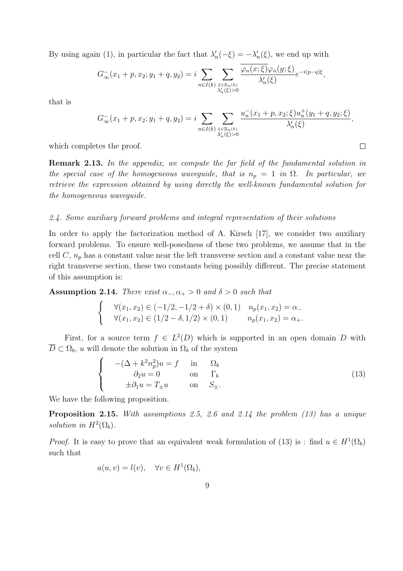By using again (1), in particular the fact that  $\lambda'_n(-\xi) = -\lambda'_n(\xi)$ , we end up with

$$
G_{\infty}^-(x_1+p,x_2;y_1+q,y_2)=i\sum_{n\in I(k)}\sum_{\substack{\xi\in\Xi_n(k)\\ \lambda'_n(\xi)>0}}\frac{\varphi_n(x;\xi)\varphi_n(y;\xi)}{\lambda'_n(\xi)}e^{-i(p-q)\xi},
$$

that is

$$
G_{\infty}^{-}(x_1+p,x_2;y_1+q,y_2)=i\sum_{n\in I(k)}\sum_{\substack{\xi\in\Xi_n(k)\\ \lambda'_n(\xi)>0}}\frac{u_n^{-}(x_1+p,x_2;\xi)u_n^{+}(y_1+q,y_2;\xi)}{\lambda'_n(\xi)},
$$

 $\Box$ 

which completes the proof.

Remark 2.13. In the appendix, we compute the far field of the fundamental solution in the special case of the homogeneous waveguide, that is  $n_p = 1$  in  $\Omega$ . In particular, we retrieve the expression obtained by using directly the well-known fundamental solution for the homogeneous waveguide.

#### 2.4. Some auxiliary forward problems and integral representation of their solutions

In order to apply the factorization method of A. Kirsch [17], we consider two auxiliary forward problems. To ensure well-posedness of these two problems, we assume that in the cell  $C$ ,  $n_p$  has a constant value near the left transverse section and a constant value near the right transverse section, these two constants being possibly different. The precise statement of this assumption is:

Assumption 2.14. There exist  $\alpha_-, \alpha_+ > 0$  and  $\delta > 0$  such that

$$
\begin{cases}\n\forall (x_1, x_2) \in (-1/2, -1/2 + \delta) \times (0, 1) & n_p(x_1, x_2) = \alpha_-\n\forall (x_1, x_2) \in (1/2 - \delta, 1/2) \times (0, 1) & n_p(x_1, x_2) = \alpha_+.\n\end{cases}
$$

First, for a source term  $f \in L^2(D)$  which is supported in an open domain D with  $\overline{D} \subset \Omega_b$ , u will denote the solution in  $\Omega_b$  of the system

$$
\begin{cases}\n-(\Delta + k^2 n_p^2)u = f & \text{in} & \Omega_b \\
\partial_2 u = 0 & \text{on} & \Gamma_b \\
\pm \partial_1 u = T_{\pm} u & \text{on} & S_{\pm}.\n\end{cases}
$$
\n(13)

We have the following proposition.

Proposition 2.15. With assumptions 2.5, 2.6 and 2.14 the problem (13) has a unique solution in  $H^2(\Omega_b)$ .

*Proof.* It is easy to prove that an equivalent weak formulation of (13) is : find  $u \in H^1(\Omega_b)$ such that

$$
a(u, v) = l(v), \quad \forall v \in H^1(\Omega_b),
$$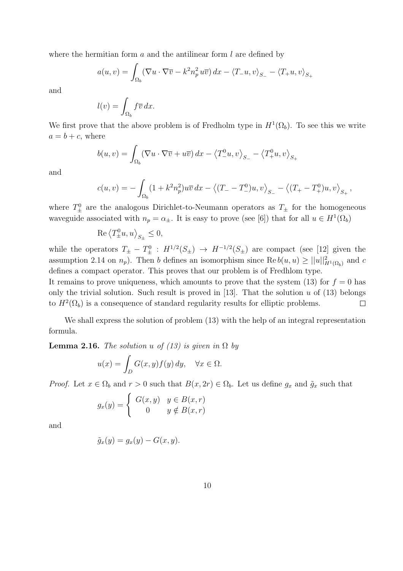where the hermitian form  $a$  and the antilinear form  $l$  are defined by

$$
a(u,v) = \int_{\Omega_b} (\nabla u \cdot \nabla \overline{v} - k^2 n_p^2 u \overline{v}) dx - \langle T_- u, v \rangle_{S_-} - \langle T_+ u, v \rangle_{S_+}
$$

and

$$
l(v) = \int_{\Omega_b} f \overline{v} \, dx.
$$

We first prove that the above problem is of Fredholm type in  $H^1(\Omega_b)$ . To see this we write  $a = b + c$ , where

$$
b(u, v) = \int_{\Omega_b} (\nabla u \cdot \nabla \overline{v} + u \overline{v}) \, dx - \left\langle T^0_- u, v \right\rangle_{S_-} - \left\langle T^0_+ u, v \right\rangle_{S_+}
$$

and

$$
c(u,v) = -\int_{\Omega_b} (1 + k^2 n_p^2) u \overline{v} \, dx - \langle (T_- - T_-^0)u, v \rangle_{S_-} - \langle (T_+ - T_+^0)u, v \rangle_{S_+},
$$

where  $T_{\pm}^0$  are the analogous Dirichlet-to-Neumann operators as  $T_{\pm}$  for the homogeneous waveguide associated with  $n_p = \alpha_{\pm}$ . It is easy to prove (see [6]) that for all  $u \in H^1(\Omega_b)$ 

$$
\operatorname{Re}\left\langle T_{\pm}^0 u, u\right\rangle_{S_{\pm}} \le 0,
$$

while the operators  $T_{\pm} - T_{\pm}^0$ :  $H^{1/2}(S_{\pm}) \rightarrow H^{-1/2}(S_{\pm})$  are compact (see [12] given the assumption 2.14 on  $n_p$ ). Then b defines an isomorphism since  $\text{Re } b(u, u) \ge ||u||^2_{H^1(\Omega_b)}$  and c defines a compact operator. This proves that our problem is of Fredhlom type.

It remains to prove uniqueness, which amounts to prove that the system (13) for  $f = 0$  has only the trivial solution. Such result is proved in [13]. That the solution  $u$  of (13) belongs to  $H^2(\Omega_b)$  is a consequence of standard regularity results for elliptic problems.  $\Box$ 

We shall express the solution of problem (13) with the help of an integral representation formula.

**Lemma 2.16.** The solution u of (13) is given in  $\Omega$  by

$$
u(x) = \int_D G(x, y) f(y) dy, \quad \forall x \in \Omega.
$$

*Proof.* Let  $x \in \Omega_b$  and  $r > 0$  such that  $B(x, 2r) \in \Omega_b$ . Let us define  $g_x$  and  $\tilde{g}_x$  such that

$$
g_x(y) = \begin{cases} G(x, y) & y \in B(x, r) \\ 0 & y \notin B(x, r) \end{cases}
$$

and

$$
\tilde{g}_x(y) = g_x(y) - G(x, y).
$$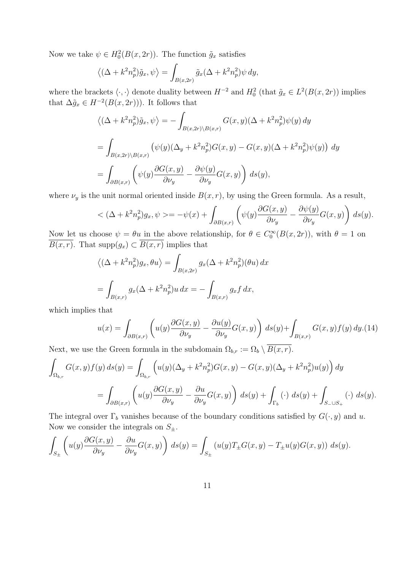Now we take  $\psi \in H_0^2(B(x, 2r))$ . The function  $\tilde{g}_x$  satisfies

$$
\left\langle \left(\Delta + k^2 n_p^2\right) \tilde{g}_x, \psi \right\rangle = \int_{B(x,2r)} \tilde{g}_x(\Delta + k^2 n_p^2) \psi \, dy,
$$

where the brackets  $\langle \cdot, \cdot \rangle$  denote duality between  $H^{-2}$  and  $H_0^2$  (that  $\tilde{g}_x \in L^2(B(x, 2r))$  implies that  $\Delta \tilde{g}_x \in H^{-2}(B(x, 2r))$ . It follows that

$$
\langle (\Delta + k^2 n_p^2) \tilde{g}_x, \psi \rangle = - \int_{B(x,2r)\backslash B(x,r)} G(x,y) (\Delta + k^2 n_p^2) \psi(y) dy
$$
  
= 
$$
\int_{B(x,2r)\backslash B(x,r)} (\psi(y) (\Delta_y + k^2 n_p^2) G(x,y) - G(x,y) (\Delta + k^2 n_p^2) \psi(y)) dy
$$
  
= 
$$
\int_{\partial B(x,r)} (\psi(y) \frac{\partial G(x,y)}{\partial \nu_y} - \frac{\partial \psi(y)}{\partial \nu_y} G(x,y)) ds(y),
$$

where  $\nu_y$  is the unit normal oriented inside  $B(x, r)$ , by using the Green formula. As a result,

$$
<(\Delta + k^2 n_p^2)g_x, \psi> = -\psi(x) + \int_{\partial B(x,r)} \left( \psi(y) \frac{\partial G(x,y)}{\partial \nu_y} - \frac{\partial \psi(y)}{\partial \nu_y} G(x,y) \right) ds(y).
$$

Now let us choose  $\psi = \theta u$  in the above relationship, for  $\theta \in C_0^{\infty}(B(x, 2r))$ , with  $\theta = 1$  on  $B(x, r)$ . That supp $(g_x) \subset B(x, r)$  implies that

$$
\langle (\Delta + k^2 n_p^2) g_x, \theta u \rangle = \int_{B(x,2r)} g_x (\Delta + k^2 n_p^2) (\theta u) dx
$$
  
= 
$$
\int_{B(x,r)} g_x (\Delta + k^2 n_p^2) u dx = - \int_{B(x,r)} g_x f dx,
$$

which implies that

$$
u(x) = \int_{\partial B(x,r)} \left( u(y) \frac{\partial G(x,y)}{\partial \nu_y} - \frac{\partial u(y)}{\partial \nu_y} G(x,y) \right) ds(y) + \int_{B(x,r)} G(x,y) f(y) dy. \tag{14}
$$

Next, we use the Green formula in the subdomain  $\Omega_{b,r} := \Omega_b \setminus B(x,r)$ .

$$
\int_{\Omega_{b,r}} G(x,y)f(y) ds(y) = \int_{\Omega_{b,r}} \left( u(y)(\Delta_y + k^2 n_p^2)G(x,y) - G(x,y)(\Delta_y + k^2 n_p^2)u(y) \right) dy
$$
  
= 
$$
\int_{\partial B(x,r)} \left( u(y)\frac{\partial G(x,y)}{\partial \nu_y} - \frac{\partial u}{\partial \nu_y}G(x,y) \right) ds(y) + \int_{\Gamma_b} (\cdot) ds(y) + \int_{S_- \cup S_+} (\cdot) ds(y).
$$

The integral over  $\Gamma_b$  vanishes because of the boundary conditions satisfied by  $G(\cdot, y)$  and u. Now we consider the integrals on  $S_{\pm}$ .

$$
\int_{S_{\pm}} \left( u(y) \frac{\partial G(x,y)}{\partial \nu_y} - \frac{\partial u}{\partial \nu_y} G(x,y) \right) ds(y) = \int_{S_{\pm}} (u(y) T_{\pm} G(x,y) - T_{\pm} u(y) G(x,y)) ds(y).
$$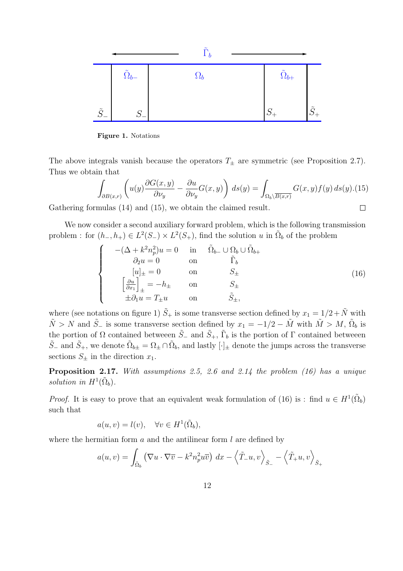

Figure 1. Notations

The above integrals vanish because the operators  $T_{\pm}$  are symmetric (see Proposition 2.7). Thus we obtain that

$$
\int_{\partial B(x,r)} \left( u(y) \frac{\partial G(x,y)}{\partial \nu_y} - \frac{\partial u}{\partial \nu_y} G(x,y) \right) ds(y) = \int_{\Omega_b \setminus \overline{B(x,r)}} G(x,y) f(y) ds(y). (15)
$$
  
mulas (14) and (15), we obtain the claimed result.

Gathering formulas (14) and (15), we obtain the claimed result.

We now consider a second auxiliary forward problem, which is the following transmission problem : for  $(h_-, h_+) \in L^2(S_-) \times L^2(S_+)$ , find the solution u in  $\tilde{\Omega}_b$  of the problem

$$
\begin{cases}\n-(\Delta + k^2 n_p^2)u = 0 & \text{in} & \tilde{\Omega}_{b-} \cup \Omega_b \cup \tilde{\Omega}_{b+} \\
\partial_2 u = 0 & \text{on} & \tilde{\Gamma}_b \\
[u]_{\pm} = 0 & \text{on} & S_{\pm} \\
\left[\frac{\partial u}{\partial x_1}\right]_{\pm} = -h_{\pm} & \text{on} & S_{\pm} \\
\pm \partial_1 u = T_{\pm} u & \text{on} & \tilde{S}_{\pm},\n\end{cases}
$$
\n(16)

where (see notations on figure 1)  $\tilde{S}_+$  is some transverse section defined by  $x_1 = 1/2 + \tilde{N}$  with  $\tilde{N} > N$  and  $\tilde{S}$ <sub>−</sub> is some transverse section defined by  $x_1 = -1/2 - \tilde{M}$  with  $\tilde{M} > M$ ,  $\tilde{\Omega}_b$  is the portion of  $\Omega$  contained betweeen  $\tilde{S}_-$  and  $\tilde{S}_+$ ,  $\tilde{\Gamma}_b$  is the portion of  $\Gamma$  contained betweeen  $\tilde{S}_-$  and  $\tilde{S}_+$ , we denote  $\tilde{\Omega}_{b\pm} = \Omega_{\pm} \cap \tilde{\Omega}_b$ , and lastly  $[\cdot]_{\pm}$  denote the jumps across the transverse sections  $S_{\pm}$  in the direction  $x_1$ .

Proposition 2.17. With assumptions 2.5, 2.6 and 2.14 the problem (16) has a unique solution in  $H^1(\tilde{\Omega}_b)$ .

*Proof.* It is easy to prove that an equivalent weak formulation of (16) is : find  $u \in H^1(\tilde{\Omega}_b)$ such that

$$
a(u, v) = l(v), \quad \forall v \in H^1(\tilde{\Omega}_b),
$$

where the hermitian form  $a$  and the antilinear form  $l$  are defined by

$$
a(u,v) = \int_{\tilde{\Omega}_b} \left( \nabla u \cdot \nabla \overline{v} - k^2 n_p^2 u \overline{v} \right) dx - \left\langle \tilde{T}_{-} u, v \right\rangle_{\tilde{S}_{-}} - \left\langle \tilde{T}_{+} u, v \right\rangle_{\tilde{S}_{+}}
$$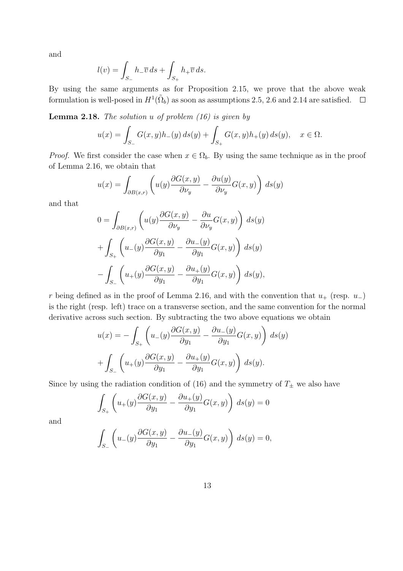and

$$
l(v) = \int_{S_{-}} h_{-}\overline{v} \, ds + \int_{S_{+}} h_{+}\overline{v} \, ds.
$$

By using the same arguments as for Proposition 2.15, we prove that the above weak formulation is well-posed in  $H^1(\tilde{\Omega}_b)$  as soon as assumptions 2.5, 2.6 and 2.14 are satisfied.  $\Box$ 

**Lemma 2.18.** The solution  $u$  of problem  $(16)$  is given by

$$
u(x) = \int_{S_{-}} G(x, y)h_{-}(y) ds(y) + \int_{S_{+}} G(x, y)h_{+}(y) ds(y), \quad x \in \Omega.
$$

*Proof.* We first consider the case when  $x \in \Omega_b$ . By using the same technique as in the proof of Lemma 2.16, we obtain that

$$
u(x) = \int_{\partial B(x,r)} \left( u(y) \frac{\partial G(x,y)}{\partial \nu_y} - \frac{\partial u(y)}{\partial \nu_y} G(x,y) \right) ds(y)
$$

and that

$$
0 = \int_{\partial B(x,r)} \left( u(y) \frac{\partial G(x,y)}{\partial \nu_y} - \frac{\partial u}{\partial \nu_y} G(x,y) \right) ds(y)
$$
  
+ 
$$
\int_{S_+} \left( u_-(y) \frac{\partial G(x,y)}{\partial y_1} - \frac{\partial u_-(y)}{\partial y_1} G(x,y) \right) ds(y)
$$
  
- 
$$
\int_{S_-} \left( u_+(y) \frac{\partial G(x,y)}{\partial y_1} - \frac{\partial u_+(y)}{\partial y_1} G(x,y) \right) ds(y),
$$

r being defined as in the proof of Lemma 2.16, and with the convention that  $u_+$  (resp.  $u_-$ ) is the right (resp. left) trace on a transverse section, and the same convention for the normal derivative across such section. By subtracting the two above equations we obtain

$$
u(x) = -\int_{S_+} \left( u_-(y) \frac{\partial G(x, y)}{\partial y_1} - \frac{\partial u_-(y)}{\partial y_1} G(x, y) \right) ds(y)
$$

$$
+ \int_{S_-} \left( u_+(y) \frac{\partial G(x, y)}{\partial y_1} - \frac{\partial u_+(y)}{\partial y_1} G(x, y) \right) ds(y).
$$

Since by using the radiation condition of (16) and the symmetry of  $T_{\pm}$  we also have

$$
\int_{S_+} \left( u_+(y) \frac{\partial G(x,y)}{\partial y_1} - \frac{\partial u_+(y)}{\partial y_1} G(x,y) \right) ds(y) = 0
$$

and

$$
\int_{S_{-}} \left( u_{-}(y) \frac{\partial G(x, y)}{\partial y_{1}} - \frac{\partial u_{-}(y)}{\partial y_{1}} G(x, y) \right) ds(y) = 0,
$$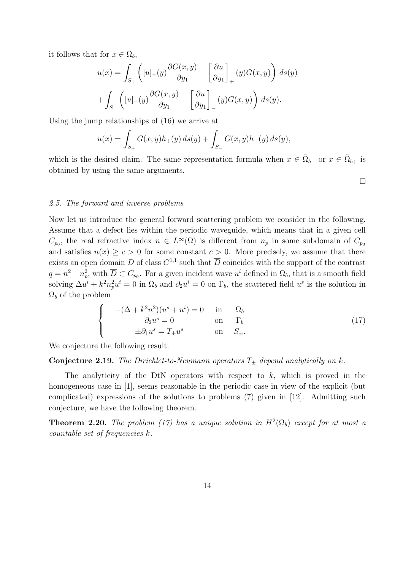it follows that for  $x \in \Omega_b$ ,

$$
u(x) = \int_{S_+} \left( [u]_+(y) \frac{\partial G(x, y)}{\partial y_1} - \left[ \frac{\partial u}{\partial y_1} \right]_+ (y) G(x, y) \right) ds(y)
$$

$$
+ \int_{S_-} \left( [u]_-(y) \frac{\partial G(x, y)}{\partial y_1} - \left[ \frac{\partial u}{\partial y_1} \right]_-(y) G(x, y) \right) ds(y).
$$

Using the jump relationships of (16) we arrive at

$$
u(x) = \int_{S_+} G(x, y)h_+(y) ds(y) + \int_{S_-} G(x, y)h_-(y) ds(y),
$$

which is the desired claim. The same representation formula when  $x \in \tilde{\Omega}_{b-}$  or  $x \in \tilde{\Omega}_{b+}$  is obtained by using the same arguments.

 $\Box$ 

# 2.5. The forward and inverse problems

Now let us introduce the general forward scattering problem we consider in the following. Assume that a defect lies within the periodic waveguide, which means that in a given cell  $C_{p_0}$ , the real refractive index  $n \in L^{\infty}(\Omega)$  is different from  $n_p$  in some subdomain of  $C_{p_0}$ and satisfies  $n(x) \ge c > 0$  for some constant  $c > 0$ . More precisely, we assume that there exists an open domain D of class  $C^{1,1}$  such that  $\overline{D}$  coincides with the support of the contrast  $q = n^2 - n_p^2$ , with  $\overline{D} \subset C_{p_0}$ . For a given incident wave  $u^i$  defined in  $\Omega_b$ , that is a smooth field solving  $\Delta u^i + k^2 n_p^2 u^i = 0$  in  $\Omega_b$  and  $\partial_2 u^i = 0$  on  $\Gamma_b$ , the scattered field  $u^s$  is the solution in  $\Omega_b$  of the problem

$$
\begin{cases}\n-(\Delta + k^2 n^2)(u^s + u^i) = 0 & \text{in} & \Omega_b \\
\partial_2 u^s = 0 & \text{on} & \Gamma_b \\
\pm \partial_1 u^s = T_{\pm} u^s & \text{on} & S_{\pm}.\n\end{cases}
$$
\n(17)

We conjecture the following result.

# **Conjecture 2.19.** The Dirichlet-to-Neumann operators  $T_{\pm}$  depend analytically on k.

The analyticity of the DtN operators with respect to  $k$ , which is proved in the homogeneous case in [1], seems reasonable in the periodic case in view of the explicit (but complicated) expressions of the solutions to problems (7) given in [12]. Admitting such conjecture, we have the following theorem.

**Theorem 2.20.** The problem (17) has a unique solution in  $H^2(\Omega_b)$  except for at most a countable set of frequencies k.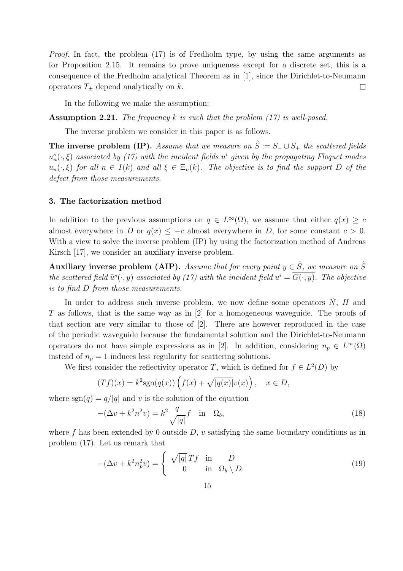Proof. In fact, the problem (17) is of Fredholm type, by using the same arguments as for Proposition 2.15. It remains to prove uniqueness except for a discrete set, this is a consequence of the Fredholm analytical Theorem as in [1], since the Dirichlet-to-Neumann operators  $T_{+}$  depend analytically on k.  $\Box$ 

In the following we make the assumption:

**Assumption 2.21.** The frequency k is such that the problem  $(17)$  is well-posed.

The inverse problem we consider in this paper is as follows.

The inverse problem (IP). Assume that we measure on  $\hat{S} := S_- \cup S_+$  the scattered fields  $u_n^s(\cdot,\xi)$  associated by (17) with the incident fields  $u^i$  given by the propagating Floquet modes  $u_n(\cdot,\xi)$  for all  $n \in I(k)$  and all  $\xi \in \Xi_n(k)$ . The objective is to find the support D of the defect from those measurements.

#### 3. The factorization method

In addition to the previous assumptions on  $q \in L^{\infty}(\Omega)$ , we assume that either  $q(x) \geq c$ almost everywhere in D or  $q(x) \leq -c$  almost everywhere in D, for some constant  $c > 0$ . With a view to solve the inverse problem (IP) by using the factorization method of Andreas Kirsch [17], we consider an auxiliary inverse problem.

Auxiliary inverse problem (AIP). Assume that for every point  $y \in \hat{S}$ , we measure on  $\hat{S}$ the scattered field  $\tilde{u}^s(\cdot,y)$  associated by (17) with the incident field  $u^i = G(\cdot,y)$ . The objective is to find D from those measurements.

In order to address such inverse problem, we now define some operators  $N$ ,  $H$  and T as follows, that is the same way as in [2] for a homogeneous waveguide. The proofs of that section are very similar to those of [2]. There are however reproduced in the case of the periodic waveguide because the fundamental solution and the Dirichlet-to-Neumann operators do not have simple expressions as in [2]. In addition, considering  $n_p \in L^{\infty}(\Omega)$ instead of  $n_p = 1$  induces less regularity for scattering solutions.

We first consider the reflectivity operator T, which is defined for  $f \in L^2(D)$  by

$$
(Tf)(x) = k^2 \text{sgn}(q(x)) \left( f(x) + \sqrt{|q(x)|} v(x) \right), \quad x \in D,
$$

where  $sgn(q) = q/|q|$  and v is the solution of the equation

$$
-(\Delta v + k^2 n^2 v) = k^2 \frac{q}{\sqrt{|q|}} f \quad \text{in} \quad \Omega_b,
$$
\n(18)

where f has been extended by 0 outside  $D$ , v satisfying the same boundary conditions as in problem (17). Let us remark that

$$
-(\Delta v + k^2 n_p^2 v) = \begin{cases} \sqrt{|q|} Tf & \text{in} \quad D \\ 0 & \text{in} \quad \Omega_b \setminus \overline{D}. \end{cases}
$$
 (19)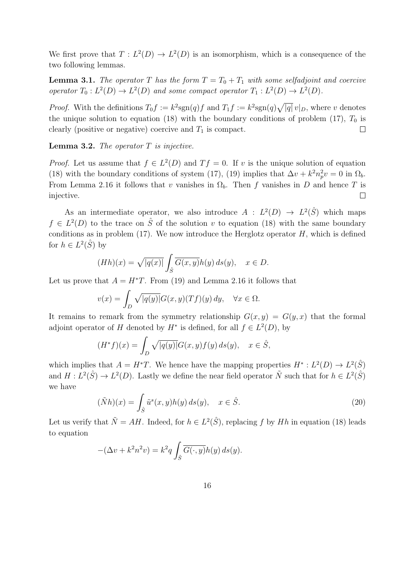We first prove that  $T: L^2(D) \to L^2(D)$  is an isomorphism, which is a consequence of the two following lemmas.

**Lemma 3.1.** The operator T has the form  $T = T_0 + T_1$  with some selfadjoint and coercive operator  $T_0: L^2(D) \to L^2(D)$  and some compact operator  $T_1: L^2(D) \to L^2(D)$ .

*Proof.* With the definitions  $T_0 f := k^2 \text{sgn}(q) f$  and  $T_1 f := k^2 \text{sgn}(q) \sqrt{|q|} v|_D$ , where v denotes the unique solution to equation (18) with the boundary conditions of problem (17),  $T_0$  is clearly (positive or negative) coercive and  $T_1$  is compact.  $\Box$ 

**Lemma 3.2.** The operator  $T$  is injective.

*Proof.* Let us assume that  $f \in L^2(D)$  and  $Tf = 0$ . If v is the unique solution of equation (18) with the boundary conditions of system (17), (19) implies that  $\Delta v + k^2 n_p^2 v = 0$  in  $\Omega_b$ . From Lemma 2.16 it follows that v vanishes in  $\Omega_b$ . Then f vanishes in D and hence T is injective.  $\Box$ 

As an intermediate operator, we also introduce  $A : L^2(D) \to L^2(\hat{S})$  which maps  $f \in L^2(D)$  to the trace on  $\hat{S}$  of the solution v to equation (18) with the same boundary conditions as in problem (17). We now introduce the Herglotz operator  $H$ , which is defined for  $h \in L^2(\hat{S})$  by

$$
(Hh)(x) = \sqrt{|q(x)|} \int_{\hat{S}} \overline{G(x,y)} h(y) \, ds(y), \quad x \in D.
$$

Let us prove that  $A = H^*T$ . From (19) and Lemma 2.16 it follows that

$$
v(x) = \int_D \sqrt{|q(y)|} G(x, y)(Tf)(y) dy, \quad \forall x \in \Omega.
$$

It remains to remark from the symmetry relationship  $G(x, y) = G(y, x)$  that the formal adjoint operator of H denoted by  $H^*$  is defined, for all  $f \in L^2(D)$ , by

$$
(H^*f)(x) = \int_D \sqrt{|q(y)|} G(x, y) f(y) ds(y), \quad x \in \hat{S},
$$

which implies that  $A = H^*T$ . We hence have the mapping properties  $H^* : L^2(D) \to L^2(\hat{S})$ and  $H: L^2(\hat{S}) \to L^2(D)$ . Lastly we define the near field operator  $\tilde{N}$  such that for  $h \in L^2(\hat{S})$ we have

$$
(\tilde{N}h)(x) = \int_{\hat{S}} \tilde{u}^s(x, y)h(y) ds(y), \quad x \in \hat{S}.
$$
\n(20)

Let us verify that  $\tilde{N} = AH$ . Indeed, for  $h \in L^2(\hat{S})$ , replacing f by Hh in equation (18) leads to equation

$$
-(\Delta v + k^2 n^2 v) = k^2 q \int_{\hat{S}} \overline{G(\cdot, y)} h(y) \, ds(y).
$$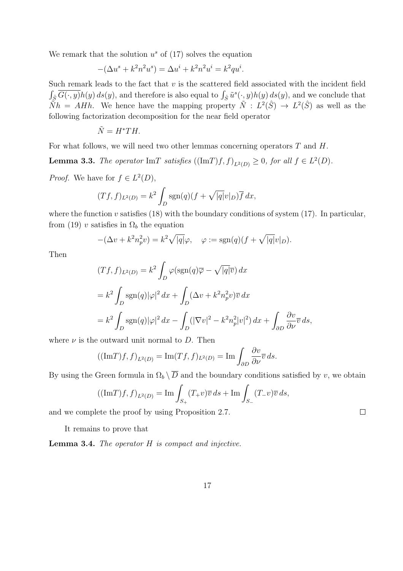We remark that the solution  $u^s$  of  $(17)$  solves the equation

$$
-(\Delta u^{s} + k^{2} n^{2} u^{s}) = \Delta u^{i} + k^{2} n^{2} u^{i} = k^{2} q u^{i}.
$$

Such remark leads to the fact that  $v$  is the scattered field associated with the incident field  $\int_{\hat{S}} \overline{G(\cdot,y)}h(y)\,ds(y)$ , and therefore is also equal to  $\int_{\hat{S}} \tilde{u}^s(\cdot,y)h(y)\,ds(y)$ , and we conclude that  $\tilde{N}h = AHh$ . We hence have the mapping property  $\tilde{N} : L^2(\hat{S}) \to L^2(\hat{S})$  as well as the following factorization decomposition for the near field operator

$$
\tilde{N} = H^*TH.
$$

For what follows, we will need two other lemmas concerning operators  $T$  and  $H$ .

**Lemma 3.3.** The operator ImT satisfies  $((Im T)f, f)_{L^2(D)} \geq 0$ , for all  $f \in L^2(D)$ .

*Proof.* We have for  $f \in L^2(D)$ ,

$$
(Tf, f)_{L^2(D)} = k^2 \int_D \operatorname{sgn}(q)(f + \sqrt{|q|}v|_D)\overline{f} dx,
$$

where the function v satisfies  $(18)$  with the boundary conditions of system  $(17)$ . In particular, from (19) v satisfies in  $\Omega_b$  the equation

$$
-(\Delta v + k^2 n_p^2 v) = k^2 \sqrt{|q|} \varphi, \quad \varphi := \text{sgn}(q)(f + \sqrt{|q|} v|_D).
$$

Then

$$
(Tf, f)_{L^2(D)} = k^2 \int_D \varphi(\text{sgn}(q)\overline{\varphi} - \sqrt{|q|}\overline{v}) dx
$$
  
=  $k^2 \int_D \text{sgn}(q)|\varphi|^2 dx + \int_D (\Delta v + k^2 n_p^2 v) \overline{v} dx$   
=  $k^2 \int_D \text{sgn}(q)|\varphi|^2 dx - \int_D (|\nabla v|^2 - k^2 n_p^2 |v|^2) dx + \int_{\partial D} \frac{\partial v}{\partial \nu} \overline{v} ds,$ 

where  $\nu$  is the outward unit normal to D. Then

$$
((\mathrm{Im}T)f,f)_{L^2(D)} = \mathrm{Im}(Tf,f)_{L^2(D)} = \mathrm{Im}\int_{\partial D} \frac{\partial v}{\partial \nu} \overline{v} \, ds.
$$

By using the Green formula in  $\Omega_b \setminus \overline{D}$  and the boundary conditions satisfied by v, we obtain

$$
((\mathrm{Im} T)f,f)_{L^{2}(D)} = \mathrm{Im} \int_{S_{+}} (T_{+}v)\overline{v} \, ds + \mathrm{Im} \int_{S_{-}} (T_{-}v)\overline{v} \, ds,
$$

and we complete the proof by using Proposition 2.7.

It remains to prove that

**Lemma 3.4.** The operator  $H$  is compact and injective.

 $\Box$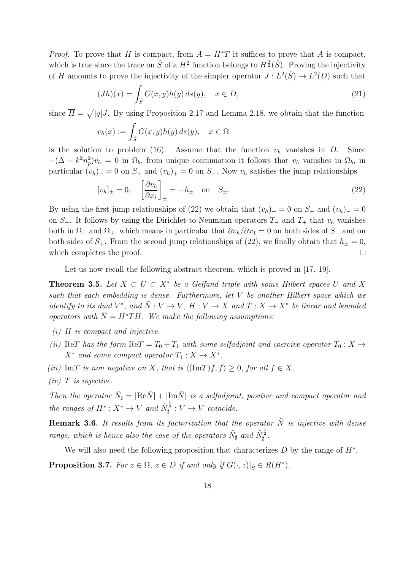*Proof.* To prove that H is compact, from  $A = H^*T$  it suffices to prove that A is compact, which is true since the trace on  $\hat{S}$  of a  $H^2$  function belongs to  $H^{\frac{3}{2}}(\hat{S})$ . Proving the injectivity of H amounts to prove the injectivity of the simpler operator  $J: L^2(\hat{S}) \to L^2(D)$  such that

$$
(Jh)(x) = \int_{\hat{S}} G(x, y)h(y) ds(y), \quad x \in D,
$$
\n(21)

since  $\overline{H} = \sqrt{|q|}J$ . By using Proposition 2.17 and Lemma 2.18, we obtain that the function

$$
v_h(x) := \int_{\hat{S}} G(x, y)h(y) \, ds(y), \quad x \in \Omega
$$

is the solution to problem (16). Assume that the function  $v<sub>h</sub>$  vanishes in D. Since  $-(\Delta + k^2 n_p^2)v_h = 0$  in  $\Omega_b$ , from unique continuation it follows that  $v_h$  vanishes in  $\Omega_b$ , in particular  $(v_h)$  = 0 on  $S_+$  and  $(v_h)$  = 0 on  $S_-$ . Now  $v_h$  satisfies the jump relationships

$$
[v_h]_{\pm} = 0, \quad \left[\frac{\partial v_h}{\partial x_1}\right]_{\pm} = -h_{\pm} \quad \text{on} \quad S_{\pm}.
$$

By using the first jump relationships of (22) we obtain that  $(v_h)_+ = 0$  on  $S_+$  and  $(v_h)_- = 0$ on S−. It follows by using the Dirichlet-to-Neumann operators  $T_-\,$  and  $T_+\,$  that  $v_h$  vanishes both in  $\Omega_{-}$  and  $\Omega_{+}$ , which means in particular that  $\partial v_h/\partial x_1 = 0$  on both sides of  $S_{-}$  and on both sides of  $S_+$ . From the second jump relationships of (22), we finally obtain that  $h_{\pm} = 0$ , which completes the proof.  $\Box$ 

Let us now recall the following abstract theorem, which is proved in [17, 19].

**Theorem 3.5.** Let  $X \subset U \subset X^*$  be a Gelfand triple with some Hilbert spaces U and X such that each embedding is dense. Furthermore, let V be another Hilbert space which we identify to its dual  $V^*$ , and  $\tilde{N}: V \to V$ ,  $H: V \to X$  and  $T: X \to X^*$  be linear and bounded operators with  $\tilde{N} = H^*TH$ . We make the following assumptions:

- (i) H is compact and injective.
- (ii) ReT has the form ReT =  $T_0 + T_1$  with some selfadjoint and coercive operator  $T_0 : X \rightarrow$  $X^*$  and some compact operator  $T_1: X \to X^*$ .
- (iii) ImT is non negative on X, that is  $\langle (\text{Im} T) f, f \rangle > 0$ , for all  $f \in X$ .
- $(iv)$  T is injective.

Then the operator  $\tilde{N}_{\sharp} = |\text{Re}\tilde{N}| + |\text{Im}\tilde{N}|$  is a selfadjoint, positive and compact operator and the ranges of  $H^*: X^* \to V$  and  $\tilde{N}_{\sharp}^{\frac{1}{2}}: V \to V$  coincide.

**Remark 3.6.** It results from its factorization that the operator  $\tilde{N}$  is injective with dense range, which is hence also the case of the operators  $\tilde{N}_{\sharp}$  and  $\tilde{N}_{\sharp}^{\frac{1}{2}}$ .

We will also need the following proposition that characterizes  $D$  by the range of  $H^*$ . **Proposition 3.7.** For  $z \in \Omega$ ,  $z \in D$  if and only if  $G(\cdot, z)|_{\hat{S}} \in R(H^*)$ .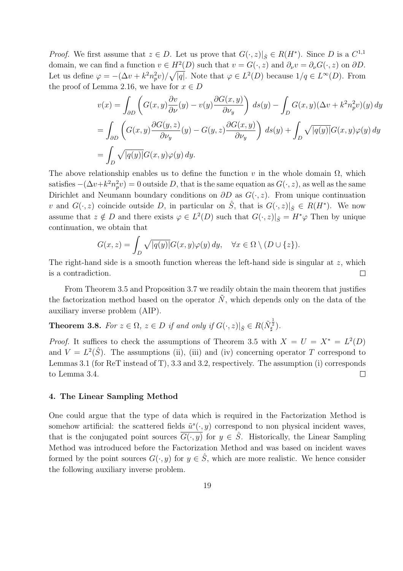*Proof.* We first assume that  $z \in D$ . Let us prove that  $G(\cdot, z)|_{\hat{S}} \in R(H^*)$ . Since D is a  $C^{1,1}$ domain, we can find a function  $v \in H^2(D)$  such that  $v = G(\cdot, z)$  and  $\partial_\nu v = \partial_\nu G(\cdot, z)$  on  $\partial D$ . Let us define  $\varphi = -(\Delta v + k^2 n_p^2 v)/\sqrt{|q|}$ . Note that  $\varphi \in L^2(D)$  because  $1/q \in L^{\infty}(D)$ . From the proof of Lemma 2.16, we have for  $x \in D$ 

$$
v(x) = \int_{\partial D} \left( G(x, y) \frac{\partial v}{\partial \nu}(y) - v(y) \frac{\partial G(x, y)}{\partial \nu_y} \right) ds(y) - \int_D G(x, y) (\Delta v + k^2 n_p^2 v)(y) dy
$$
  
= 
$$
\int_{\partial D} \left( G(x, y) \frac{\partial G(y, z)}{\partial \nu_y}(y) - G(y, z) \frac{\partial G(x, y)}{\partial \nu_y} \right) ds(y) + \int_D \sqrt{|q(y)|} G(x, y) \varphi(y) dy
$$
  
= 
$$
\int_D \sqrt{|q(y)|} G(x, y) \varphi(y) dy.
$$

The above relationship enables us to define the function v in the whole domain  $\Omega$ , which satisfies  $-(\Delta v + k^2 n_p^2 v) = 0$  outside D, that is the same equation as  $G(\cdot, z)$ , as well as the same Dirichlet and Neumann boundary conditions on  $\partial D$  as  $G(\cdot, z)$ . From unique continuation v and  $G(\cdot, z)$  coincide outside D, in particular on  $\hat{S}$ , that is  $G(\cdot, z)|_{\hat{S}} \in R(H^*)$ . We now assume that  $z \notin D$  and there exists  $\varphi \in L^2(D)$  such that  $G(\cdot, z)|_{\hat{S}} = H^* \varphi$  Then by unique continuation, we obtain that

$$
G(x, z) = \int_D \sqrt{|q(y)|} G(x, y)\varphi(y) dy, \quad \forall x \in \Omega \setminus (D \cup \{z\}).
$$

The right-hand side is a smooth function whereas the left-hand side is singular at z, which is a contradiction.  $\Box$ 

From Theorem 3.5 and Proposition 3.7 we readily obtain the main theorem that justifies the factorization method based on the operator  $\tilde{N}$ , which depends only on the data of the auxiliary inverse problem (AIP).

**Theorem 3.8.** For  $z \in \Omega$ ,  $z \in D$  if and only if  $G(\cdot, z)|_{\hat{S}} \in R(\tilde{N}_{\sharp}^{\frac{1}{2}})$ .

*Proof.* It suffices to check the assumptions of Theorem 3.5 with  $X = U = X^* = L^2(D)$ and  $V = L^2(\hat{S})$ . The assumptions (ii), (iii) and (iv) concerning operator T correspond to Lemmas 3.1 (for ReT instead of T), 3.3 and 3.2, respectively. The assumption (i) corresponds to Lemma 3.4.  $\Box$ 

# 4. The Linear Sampling Method

One could argue that the type of data which is required in the Factorization Method is somehow artificial: the scattered fields  $\tilde{u}^s(\cdot, y)$  correspond to non physical incident waves, that is the conjugated point sources  $\overline{G(\cdot,y)}$  for  $y \in \hat{S}$ . Historically, the Linear Sampling Method was introduced before the Factorization Method and was based on incident waves formed by the point sources  $G(\cdot, y)$  for  $y \in \hat{S}$ , which are more realistic. We hence consider the following auxiliary inverse problem.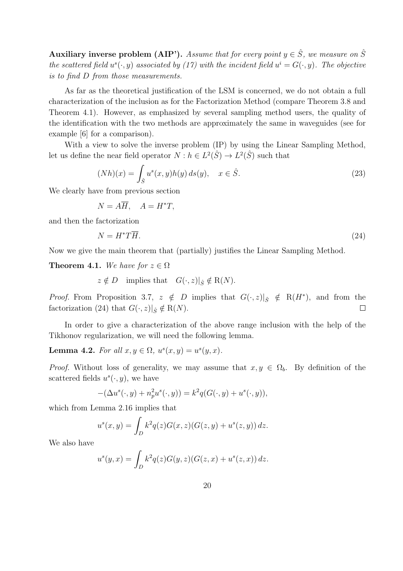Auxiliary inverse problem (AIP'). Assume that for every point  $y \in \hat{S}$ , we measure on  $\hat{S}$ the scattered field  $u^s(\cdot, y)$  associated by (17) with the incident field  $u^i = G(\cdot, y)$ . The objective is to find D from those measurements.

As far as the theoretical justification of the LSM is concerned, we do not obtain a full characterization of the inclusion as for the Factorization Method (compare Theorem 3.8 and Theorem 4.1). However, as emphasized by several sampling method users, the quality of the identification with the two methods are approximately the same in waveguides (see for example [6] for a comparison).

With a view to solve the inverse problem (IP) by using the Linear Sampling Method, let us define the near field operator  $N : h \in L^2(\hat{S}) \to L^2(\hat{S})$  such that

$$
(Nh)(x) = \int_{\hat{S}} u^s(x, y)h(y) ds(y), \quad x \in \hat{S}.
$$
\n(23)

We clearly have from previous section

$$
N = A\overline{H}, \quad A = H^*T,
$$

and then the factorization

$$
N = H^*T\overline{H}.
$$
\n<sup>(24)</sup>

Now we give the main theorem that (partially) justifies the Linear Sampling Method.

**Theorem 4.1.** We have for  $z \in \Omega$ 

 $z \notin D$  implies that  $G(\cdot, z)|_{\hat{S}} \notin R(N)$ .

*Proof.* From Proposition 3.7,  $z \notin D$  implies that  $G(\cdot, z)|_{\hat{S}} \notin R(H^*)$ , and from the factorization (24) that  $G(\cdot, z)|_{\hat{S}} \notin R(N)$ .  $\Box$ 

In order to give a characterization of the above range inclusion with the help of the Tikhonov regularization, we will need the following lemma.

**Lemma 4.2.** For all  $x, y \in \Omega$ ,  $u^s(x, y) = u^s(y, x)$ .

*Proof.* Without loss of generality, we may assume that  $x, y \in \Omega_b$ . By definition of the scattered fields  $u^s(\cdot, y)$ , we have

$$
-(\Delta u^{s}(\cdot, y) + n_{p}^{2}u^{s}(\cdot, y)) = k^{2}q(G(\cdot, y) + u^{s}(\cdot, y)),
$$

which from Lemma 2.16 implies that

$$
u^{s}(x, y) = \int_{D} k^{2} q(z) G(x, z) (G(z, y) + u^{s}(z, y)) dz.
$$

We also have

$$
u^{s}(y,x) = \int_{D} k^{2} q(z)G(y,z)(G(z,x) + u^{s}(z,x)) dz.
$$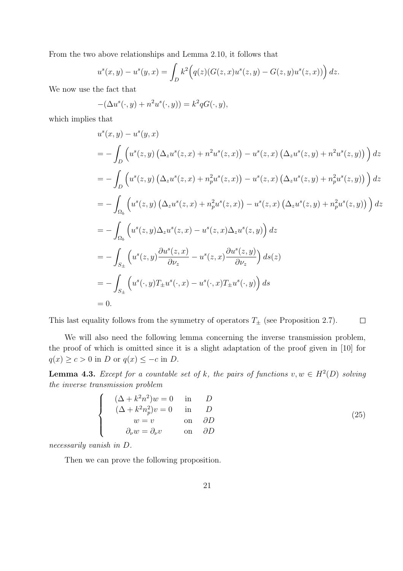From the two above relationships and Lemma 2.10, it follows that

$$
u^{s}(x, y) - u^{s}(y, x) = \int_{D} k^{2} (q(z)(G(z, x)u^{s}(z, y) - G(z, y)u^{s}(z, x))) dz.
$$

We now use the fact that

$$
-(\Delta u^s(\cdot,y) + n^2 u^s(\cdot,y)) = k^2 q G(\cdot,y),
$$

which implies that

$$
u^{s}(x, y) - u^{s}(y, x)
$$
  
=  $-\int_{D} (u^{s}(z, y) (\Delta_{z} u^{s}(z, x) + n^{2} u^{s}(z, x)) - u^{s}(z, x) (\Delta_{z} u^{s}(z, y) + n^{2} u^{s}(z, y)) ) dz$   
=  $-\int_{D} (u^{s}(z, y) (\Delta_{z} u^{s}(z, x) + n_{p}^{2} u^{s}(z, x)) - u^{s}(z, x) (\Delta_{z} u^{s}(z, y) + n_{p}^{2} u^{s}(z, y)) ) dz$   
=  $-\int_{\Omega_{b}} (u^{s}(z, y) (\Delta_{z} u^{s}(z, x) + n_{p}^{2} u^{s}(z, x)) - u^{s}(z, x) (\Delta_{z} u^{s}(z, y) + n_{p}^{2} u^{s}(z, y)) ) dz$   
=  $-\int_{\Omega_{b}} (u^{s}(z, y) \Delta_{z} u^{s}(z, x) - u^{s}(z, x) \Delta_{z} u^{s}(z, y)) dz$   
=  $-\int_{S_{\pm}} (u^{s}(z, y) \frac{\partial u^{s}(z, x)}{\partial \nu_{z}} - u^{s}(z, x) \frac{\partial u^{s}(z, y)}{\partial \nu_{z}} ) ds(z)$   
=  $-\int_{S_{\pm}} (u^{s}(\cdot, y) T_{\pm} u^{s}(\cdot, x) - u^{s}(\cdot, x) T_{\pm} u^{s}(\cdot, y)) ds$   
= 0.

This last equality follows from the symmetry of operators  $T_{\pm}$  (see Proposition 2.7).  $\Box$ 

We will also need the following lemma concerning the inverse transmission problem, the proof of which is omitted since it is a slight adaptation of the proof given in [10] for  $q(x) \ge c > 0$  in D or  $q(x) \le -c$  in D.

**Lemma 4.3.** Except for a countable set of k, the pairs of functions  $v, w \in H^2(D)$  solving the inverse transmission problem

$$
(\Delta + k^2 n^2)w = 0 \t\t in \t\t D
$$
  
\n
$$
(\Delta + k^2 n^2)v = 0 \t\t in \t\t D
$$
  
\n
$$
w = v \t\t on \t \partial D
$$
  
\n
$$
\partial_\nu w = \partial_\nu v \t\t on \t \partial D
$$
\n(25)

necessarily vanish in D.

 $\sqrt{ }$  $\int$ 

 $\overline{\mathcal{L}}$ 

Then we can prove the following proposition.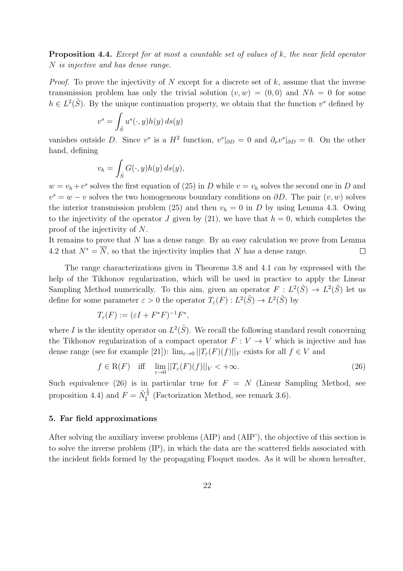Proposition 4.4. Except for at most a countable set of values of k, the near field operator N is injective and has dense range.

*Proof.* To prove the injectivity of N except for a discrete set of k, assume that the inverse transmission problem has only the trivial solution  $(v, w) = (0, 0)$  and  $Nh = 0$  for some  $h \in L^2(\hat{S})$ . By the unique continuation property, we obtain that the function  $v^s$  defined by

$$
v^s = \int_{\hat{S}} u^s(\cdot, y) h(y) \, ds(y)
$$

vanishes outside D. Since  $v^s$  is a  $H^2$  function,  $v^s|_{\partial D} = 0$  and  $\partial_\nu v^s|_{\partial D} = 0$ . On the other hand, defining

$$
v_h = \int_{\hat{S}} G(\cdot, y) h(y) \, ds(y),
$$

 $w = v_h + v^s$  solves the first equation of (25) in D while  $v = v_h$  solves the second one in D and  $v<sup>s</sup> = w - v$  solves the two homogeneous boundary conditions on  $\partial D$ . The pair  $(v, w)$  solves the interior transmission problem (25) and then  $v_h = 0$  in D by using Lemma 4.3. Owing to the injectivity of the operator J given by (21), we have that  $h = 0$ , which completes the proof of the injectivity of N.

It remains to prove that N has a dense range. By an easy calculation we prove from Lemma 4.2 that  $N^* = \overline{N}$ , so that the injectivity implies that N has a dense range.  $\Box$ 

The range characterizations given in Theorems 3.8 and 4.1 can by expressed with the help of the Tikhonov regularization, which will be used in practice to apply the Linear Sampling Method numerically. To this aim, given an operator  $F: L^2(\hat{S}) \to L^2(\hat{S})$  let us define for some parameter  $\varepsilon > 0$  the operator  $T_{\varepsilon}(F) : L^2(\hat{S}) \to L^2(\hat{S})$  by

$$
T_{\varepsilon}(F) := (\varepsilon I + F^*F)^{-1}F^*,
$$

where I is the identity operator on  $L^2(\hat{S})$ . We recall the following standard result concerning the Tikhonov regularization of a compact operator  $F: V \to V$  which is injective and has dense range (see for example [21]):  $\lim_{\varepsilon\to 0}||T_{\varepsilon}(F)(f)||_V$  exists for all  $f \in V$  and

$$
f \in \mathcal{R}(F) \quad \text{iff} \quad \lim_{\varepsilon \to 0} ||T_{\varepsilon}(F)(f)||_{V} < +\infty. \tag{26}
$$

Such equivalence (26) is in particular true for  $F = N$  (Linear Sampling Method, see proposition 4.4) and  $F = \tilde{N}_{\sharp}^{\frac{1}{2}}$  (Factorization Method, see remark 3.6).

# 5. Far field approximations

After solving the auxiliary inverse problems (AIP) and (AIP'), the objective of this section is to solve the inverse problem (IP), in which the data are the scattered fields associated with the incident fields formed by the propagating Floquet modes. As it will be shown hereafter,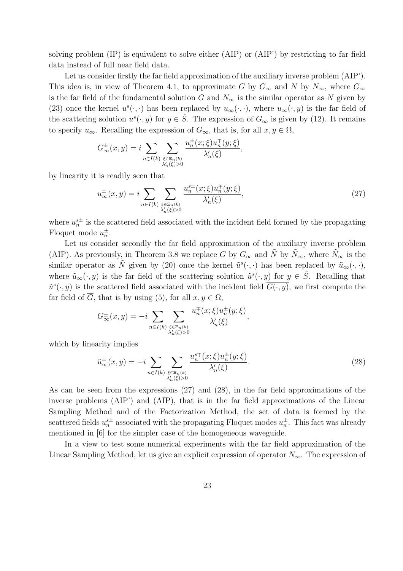solving problem (IP) is equivalent to solve either (AIP) or (AIP') by restricting to far field data instead of full near field data.

Let us consider firstly the far field approximation of the auxiliary inverse problem (AIP'). This idea is, in view of Theorem 4.1, to approximate G by  $G_{\infty}$  and N by  $N_{\infty}$ , where  $G_{\infty}$ is the far field of the fundamental solution G and  $N_{\infty}$  is the similar operator as N given by (23) once the kernel  $u^s(\cdot, \cdot)$  has been replaced by  $u_\infty(\cdot, \cdot)$ , where  $u_\infty(\cdot, y)$  is the far field of the scattering solution  $u^s(\cdot, y)$  for  $y \in \hat{S}$ . The expression of  $G_{\infty}$  is given by (12). It remains to specify  $u_{\infty}$ . Recalling the expression of  $G_{\infty}$ , that is, for all  $x, y \in \Omega$ ,

$$
G_{\infty}^{\pm}(x,y) = i \sum_{n \in I(k)} \sum_{\substack{\xi \in \Xi_n(k) \\ \lambda'_n(\xi) > 0}} \frac{u_n^{\pm}(x;\xi) u_n^{\mp}(y;\xi)}{\lambda'_n(\xi)},
$$

by linearity it is readily seen that

$$
u_{\infty}^{\pm}(x,y) = i \sum_{n \in I(k)} \sum_{\substack{\xi \in \Xi_n(k) \\ \lambda'_n(\xi) > 0}} \frac{u_n^{\xi \pm}(x;\xi) u_n^{\mp}(y;\xi)}{\lambda'_n(\xi)},\tag{27}
$$

where  $u_n^{\text{s}\pm}$  is the scattered field associated with the incident field formed by the propagating Floquet mode  $u_n^{\pm}$ .

Let us consider secondly the far field approximation of the auxiliary inverse problem (AIP). As previously, in Theorem 3.8 we replace G by  $G_{\infty}$  and  $\tilde{N}$  by  $\tilde{N}_{\infty}$ , where  $\tilde{N}_{\infty}$  is the similar operator as  $\tilde{N}$  given by (20) once the kernel  $\tilde{u}^s(\cdot,\cdot)$  has been replaced by  $\tilde{u}_{\infty}(\cdot,\cdot),$ where  $\tilde{u}_{\infty}(\cdot, y)$  is the far field of the scattering solution  $\tilde{u}^{s}(\cdot, y)$  for  $y \in \hat{S}$ . Recalling that  $\tilde{u}^s(\cdot, y)$  is the scattered field associated with the incident field  $G(\cdot, y)$ , we first compute the far field of  $\overline{G}$ , that is by using (5), for all  $x, y \in \Omega$ ,

$$
\overline{G^{\pm}_{\infty}}(x,y) = -i \sum_{n \in I(k)} \sum_{\substack{\xi \in \Xi_n(k) \\ \lambda_n'(\xi) > 0}} \frac{u_n^{\mp}(x;\xi) u_n^{\pm}(y;\xi)}{\lambda_n'(\xi)},
$$

which by linearity implies

$$
\tilde{u}_{\infty}^{\pm}(x,y) = -i \sum_{n \in I(k)} \sum_{\substack{\xi \in \Xi_n(k) \\ \lambda'_n(\xi) > 0}} \frac{u_n^{s\mp}(x;\xi) u_n^{\pm}(y;\xi)}{\lambda'_n(\xi)}.
$$
\n
$$
(28)
$$

As can be seen from the expressions (27) and (28), in the far field approximations of the inverse problems (AIP') and (AIP), that is in the far field approximations of the Linear Sampling Method and of the Factorization Method, the set of data is formed by the scattered fields  $u_n^{\underline{s}\pm}$  associated with the propagating Floquet modes  $u_n^{\pm}$ . This fact was already mentioned in [6] for the simpler case of the homogeneous waveguide.

In a view to test some numerical experiments with the far field approximation of the Linear Sampling Method, let us give an explicit expression of operator  $N_{\infty}$ . The expression of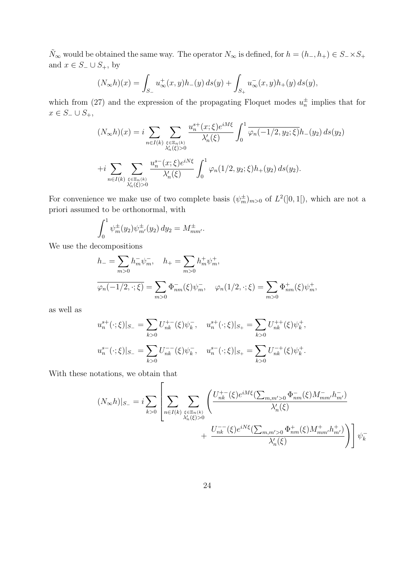$\tilde{N}_{\infty}$  would be obtained the same way. The operator  $N_{\infty}$  is defined, for  $h = (h_-, h_+) \in S_- \times S_+$ and  $x\in S_-\cup S_+,$  by

$$
(N_{\infty}h)(x) = \int_{S_{-}} u_{\infty}^{+}(x, y)h_{-}(y) ds(y) + \int_{S_{+}} u_{\infty}^{-}(x, y)h_{+}(y) ds(y),
$$

which from (27) and the expression of the propagating Floquet modes  $u_n^{\pm}$  implies that for  $x \in S_-\cup S_+,$ 

$$
(N_{\infty}h)(x) = i \sum_{n \in I(k)} \sum_{\substack{\xi \in \Xi_n(k) \\ \lambda'_n(\xi) > 0}} \frac{u_n^{s+}(x;\xi)e^{iM\xi}}{\lambda'_n(\xi)} \int_0^1 \overline{\varphi_n(-1/2, y_2; \xi)} h_-(y_2) ds(y_2)
$$
  
+
$$
+ i \sum_{n \in I(k)} \sum_{\substack{\xi \in \Xi_n(k) \\ \lambda'_n(\xi) > 0}} \frac{u_n^{s-}(x;\xi)e^{iN\xi}}{\lambda'_n(\xi)} \int_0^1 \varphi_n(1/2, y_2; \xi) h_+(y_2) ds(y_2).
$$

For convenience we make use of two complete basis  $(\psi_m^{\pm})_{m>0}$  of  $L^2(]0,1[)$ , which are not a priori assumed to be orthonormal, with

$$
\int_0^1 \psi_m^{\pm}(y_2) \psi_{m'}^{\pm}(y_2) \, dy_2 = M_{mm'}^{\pm}.
$$

 $\mathbf{r}$ 

We use the decompositions

$$
h_{-} = \sum_{m>0} h_{m}^{-} \psi_{m}^{-}, \quad h_{+} = \sum_{m>0} h_{m}^{+} \psi_{m}^{+},
$$
  

$$
\overline{\varphi_{n}(-1/2, \cdot; \xi)} = \sum_{m>0} \Phi_{nm}^{-}(\xi) \psi_{m}^{-}, \quad \varphi_{n}(1/2, \cdot; \xi) = \sum_{m>0} \Phi_{nm}^{+}(\xi) \psi_{m}^{+},
$$

as well as

$$
u_n^{s+}(\cdot;\xi)|_{S_-} = \sum_{k>0} U_{nk}^{+-}(\xi)\psi_k^-, \quad u_n^{s+}(\cdot;\xi)|_{S_+} = \sum_{k>0} U_{nk}^{++}(\xi)\psi_k^+,
$$
  

$$
u_n^{s-}(\cdot;\xi)|_{S_-} = \sum_{k>0} U_{nk}^{--}(\xi)\psi_k^-, \quad u_n^{s-}(\cdot;\xi)|_{S_+} = \sum_{k>0} U_{nk}^{-+}(\xi)\psi_k^+.
$$

With these notations, we obtain that

$$
(N_{\infty}h)|_{S_{-}} = i \sum_{k>0} \left[ \sum_{n \in I(k)} \sum_{\xi \in \Xi_n(k) \atop \lambda'_n(\xi)>0} \left( \frac{U_{nk}^{+-}(\xi) e^{iM\xi} (\sum_{m,m'>0} \Phi_{nm}^{-}(\xi) M_{mm'}^{-} h_{m'}^{-})}{\lambda'_n(\xi)} \right. \\ \left. + \frac{U_{nk}^{--}(\xi) e^{iN\xi} (\sum_{m,m'>0} \Phi_{nm}^{+}(\xi) M_{mm'}^{+} h_{m'}^{+})}{\lambda'_n(\xi)} \right) \right] \psi_k^{-}
$$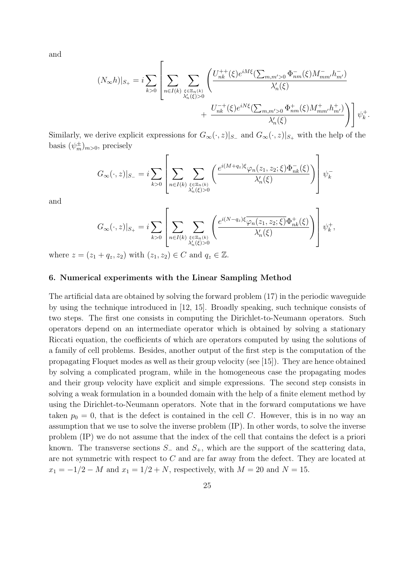and

$$
(N_{\infty}h)|_{S_{+}} = i \sum_{k>0} \left[ \sum_{n \in I(k)} \sum_{\substack{\xi \in \Xi_{n}(k) \\ \lambda'_{n}(\xi) > 0}} \left( \frac{U_{nk}^{++}(\xi)e^{iM\xi}(\sum_{m,m' > 0} \Phi_{nm}^{-}(\xi)M_{mm'}^{-}h_{m'}^{-})}{\lambda'_{n}(\xi)} + \frac{U_{nk}^{-+}(\xi)e^{iN\xi}(\sum_{m,m' > 0} \Phi_{nm}^{+}(\xi)M_{mm'}^{+}h_{m'}^{+})}{\lambda'_{n}(\xi)} \right) \right] \psi_{k}^{+}.
$$

Similarly, we derive explicit expressions for  $G_{\infty}(\cdot, z)|_{S_{-}}$  and  $G_{\infty}(\cdot, z)|_{S_{+}}$  with the help of the basis  $(\psi_m^{\pm})_{m>0}$ , precisely

$$
G_\infty(\cdot,z)|_{S_-}=i\sum_{k>0}\left[\sum_{n\in I(k)}\sum_{\xi\in\Xi_n(k)\atop \lambda'_n(\xi)>0}\left(\frac{e^{i(M+q_z)\xi}\varphi_n(z_1,z_2;\xi)\Phi^-_{nk}(\xi)}{\lambda'_n(\xi)}\right)\right]\psi^-_k
$$

and

$$
G_{\infty}(\cdot,z)|_{S_{+}}=i\sum_{k>0}\left[\sum_{n\in I(k)}\sum_{\xi\in \Xi_{n}(k)\atop \lambda'_{n}(\xi)>0}\left(\frac{e^{i(N-q_{z})\xi}\overline{\varphi_{n}(z_{1},z_{2};\xi)}\Phi^{+}_{nk}(\xi)}{\lambda'_{n}(\xi)}\right)\right]\psi_{k}^{+},
$$

where  $z = (z_1 + q_z, z_2)$  with  $(z_1, z_2) \in C$  and  $q_z \in \mathbb{Z}$ .

# 6. Numerical experiments with the Linear Sampling Method

The artificial data are obtained by solving the forward problem (17) in the periodic waveguide by using the technique introduced in [12, 15]. Broadly speaking, such technique consists of two steps. The first one consists in computing the Dirichlet-to-Neumann operators. Such operators depend on an intermediate operator which is obtained by solving a stationary Riccati equation, the coefficients of which are operators computed by using the solutions of a family of cell problems. Besides, another output of the first step is the computation of the propagating Floquet modes as well as their group velocity (see [15]). They are hence obtained by solving a complicated program, while in the homogeneous case the propagating modes and their group velocity have explicit and simple expressions. The second step consists in solving a weak formulation in a bounded domain with the help of a finite element method by using the Dirichlet-to-Neumann operators. Note that in the forward computations we have taken  $p_0 = 0$ , that is the defect is contained in the cell C. However, this is in no way an assumption that we use to solve the inverse problem (IP). In other words, to solve the inverse problem (IP) we do not assume that the index of the cell that contains the defect is a priori known. The transverse sections  $S_$  and  $S_+$ , which are the support of the scattering data, are not symmetric with respect to C and are far away from the defect. They are located at  $x_1 = -1/2 - M$  and  $x_1 = 1/2 + N$ , respectively, with  $M = 20$  and  $N = 15$ .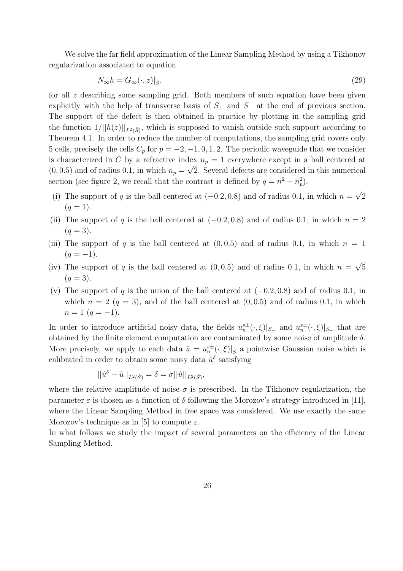We solve the far field approximation of the Linear Sampling Method by using a Tikhonov regularization associated to equation

$$
N_{\infty}h = G_{\infty}(\cdot, z)|_{\hat{S}},\tag{29}
$$

for all z describing some sampling grid. Both members of such equation have been given explicitly with the help of transverse basis of  $S_+$  and  $S_-$  at the end of previous section. The support of the defect is then obtained in practice by plotting in the sampling grid the function  $1/||h(z)||_{L^2(\hat{S})}$ , which is supposed to vanish outside such support according to Theorem 4.1. In order to reduce the number of computations, the sampling grid covers only 5 cells, precisely the cells  $C_p$  for  $p = -2, -1, 0, 1, 2$ . The periodic waveguide that we consider is characterized in C by a refractive index  $n_p = 1$  everywhere except in a ball centered at  $(0, 0.5)$  and of radius 0.1, in which  $n_p = \sqrt{2}$ . Several defects are considered in this numerical section (see figure 2, we recall that the contrast is defined by  $q = n^2 - n_p^2$ ).

- (i) The support of q is the ball centered at  $(-0.2, 0.8)$  and of radius 0.1, in which  $n = \sqrt{2}$  $(q = 1).$
- (ii) The support of q is the ball centered at  $(-0.2, 0.8)$  and of radius 0.1, in which  $n = 2$  $(q = 3)$ .
- (iii) The support of q is the ball centered at  $(0, 0.5)$  and of radius 0.1, in which  $n = 1$  $(q = -1)$ .
- (iv) The support of q is the ball centered at  $(0, 0.5)$  and of radius 0.1, in which  $n = \sqrt{5}$  $(q = 3)$ .
- (v) The support of q is the union of the ball centered at  $(-0.2, 0.8)$  and of radius 0.1, in which  $n = 2$  ( $q = 3$ ), and of the ball centered at (0,0.5) and of radius 0.1, in which  $n = 1$   $(q = -1)$ .

In order to introduce artificial noisy data, the fields  $u_n^{s\pm}(\cdot,\xi)|_{S_-}$  and  $u_n^{s\pm}(\cdot,\xi)|_{S_+}$  that are obtained by the finite element computation are contaminated by some noise of amplitude  $\delta$ . More precisely, we apply to each data  $\hat{u} = u_n^{s\pm}(\cdot, \xi)|_{\hat{S}}$  a pointwise Gaussian noise which is calibrated in order to obtain some noisy data  $\hat{u}^{\delta}$  satisfying

$$
||\hat{u}^{\delta} - \hat{u}||_{L^{2}(\hat{S})} = \delta = \sigma ||\hat{u}||_{L^{2}(\hat{S})},
$$

where the relative amplitude of noise  $\sigma$  is prescribed. In the Tikhonov regularization, the parameter  $\varepsilon$  is chosen as a function of  $\delta$  following the Morozov's strategy introduced in [11], where the Linear Sampling Method in free space was considered. We use exactly the same Morozov's technique as in [5] to compute  $\varepsilon$ .

In what follows we study the impact of several parameters on the efficiency of the Linear Sampling Method.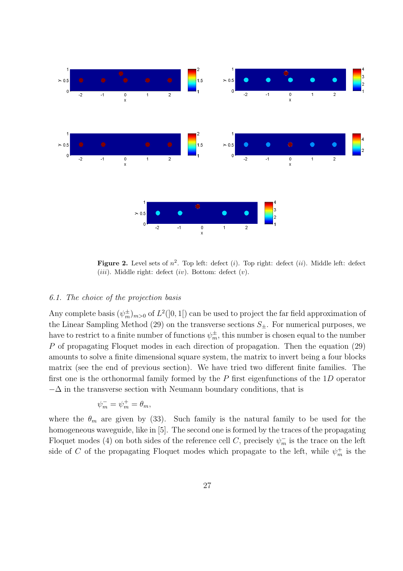

Figure 2. Level sets of  $n^2$ . Top left: defect (i). Top right: defect (ii). Middle left: defect (*iii*). Middle right: defect (*iv*). Bottom: defect (*v*).

# 6.1. The choice of the projection basis

Any complete basis  $(\psi_m^{\pm})_{m>0}$  of  $L^2([0,1])$  can be used to project the far field approximation of the Linear Sampling Method (29) on the transverse sections  $S_{\pm}$ . For numerical purposes, we have to restrict to a finite number of functions  $\psi_m^{\pm}$ , this number is chosen equal to the number P of propagating Floquet modes in each direction of propagation. Then the equation (29) amounts to solve a finite dimensional square system, the matrix to invert being a four blocks matrix (see the end of previous section). We have tried two different finite families. The first one is the orthonormal family formed by the  $P$  first eigenfunctions of the  $1D$  operator  $-\Delta$  in the transverse section with Neumann boundary conditions, that is

$$
\psi_m^- = \psi_m^+ = \theta_m,
$$

where the  $\theta_m$  are given by (33). Such family is the natural family to be used for the homogeneous waveguide, like in [5]. The second one is formed by the traces of the propagating Floquet modes (4) on both sides of the reference cell C, precisely  $\psi_m^-$  is the trace on the left side of C of the propagating Floquet modes which propagate to the left, while  $\psi_m^+$  is the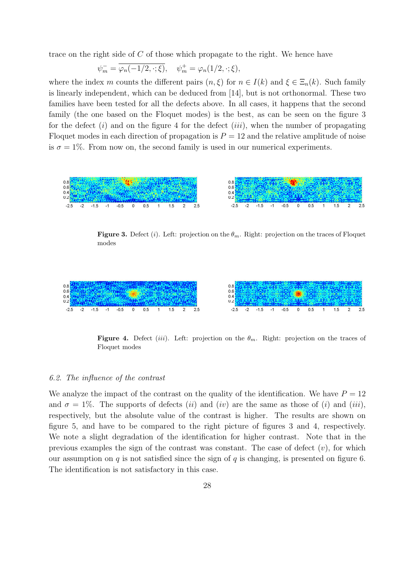trace on the right side of C of those which propagate to the right. We hence have

$$
\psi_m^- = \overline{\varphi_n(-1/2, \cdot; \xi)}, \quad \psi_m^+ = \varphi_n(1/2, \cdot; \xi),
$$

where the index m counts the different pairs  $(n, \xi)$  for  $n \in I(k)$  and  $\xi \in \Xi_n(k)$ . Such family is linearly independent, which can be deduced from [14], but is not orthonormal. These two families have been tested for all the defects above. In all cases, it happens that the second family (the one based on the Floquet modes) is the best, as can be seen on the figure 3 for the defect  $(i)$  and on the figure 4 for the defect  $(iii)$ , when the number of propagating Floquet modes in each direction of propagation is  $P = 12$  and the relative amplitude of noise is  $\sigma = 1\%$ . From now on, the second family is used in our numerical experiments.



**Figure 3.** Defect (i). Left: projection on the  $\theta_m$ . Right: projection on the traces of Floquet modes



Figure 4. Defect (iii). Left: projection on the  $\theta_m$ . Right: projection on the traces of Floquet modes

#### 6.2. The influence of the contrast

We analyze the impact of the contrast on the quality of the identification. We have  $P = 12$ and  $\sigma = 1\%$ . The supports of defects *(ii)* and *(iv)* are the same as those of *(i)* and *(iii)*, respectively, but the absolute value of the contrast is higher. The results are shown on figure 5, and have to be compared to the right picture of figures 3 and 4, respectively. We note a slight degradation of the identification for higher contrast. Note that in the previous examples the sign of the contrast was constant. The case of defect  $(v)$ , for which our assumption on  $q$  is not satisfied since the sign of  $q$  is changing, is presented on figure 6. The identification is not satisfactory in this case.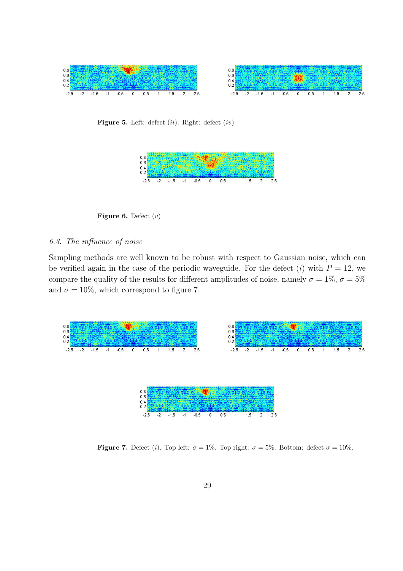

Figure 5. Left: defect  $(ii)$ . Right: defect  $(iv)$ 



Figure 6. Defect  $(v)$ 

### 6.3. The influence of noise

Sampling methods are well known to be robust with respect to Gaussian noise, which can be verified again in the case of the periodic waveguide. For the defect (i) with  $P = 12$ , we compare the quality of the results for different amplitudes of noise, namely  $\sigma = 1\%$ ,  $\sigma = 5\%$ and  $\sigma = 10\%$ , which correspond to figure 7.



**Figure 7.** Defect (i). Top left:  $\sigma = 1\%$ . Top right:  $\sigma = 5\%$ . Bottom: defect  $\sigma = 10\%$ .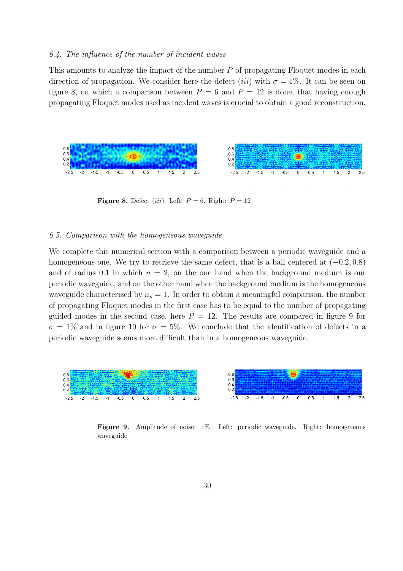### 6.4. The influence of the number of incident waves

This amounts to analyze the impact of the number P of propagating Floquet modes in each direction of propagation. We consider here the defect (*iii*) with  $\sigma = 1\%$ . It can be seen on figure 8, on which a comparison between  $P = 6$  and  $P = 12$  is done, that having enough propagating Floquet modes used as incident waves is crucial to obtain a good reconstruction.



Figure 8. Defect *(iii)*. Left:  $P = 6$ . Right:  $P = 12$ 

#### 6.5. Comparison with the homogeneous waveguide

We complete this numerical section with a comparison between a periodic waveguide and a homogeneous one. We try to retrieve the same defect, that is a ball centered at  $(-0.2, 0.8)$ and of radius 0.1 in which  $n = 2$ , on the one hand when the background medium is our periodic waveguide, and on the other hand when the background medium is the homogeneous waveguide characterized by  $n_p = 1$ . In order to obtain a meaningful comparison, the number of propagating Floquet modes in the first case has to be equal to the number of propagating guided modes in the second case, here  $P = 12$ . The results are compared in figure 9 for  $\sigma = 1\%$  and in figure 10 for  $\sigma = 5\%$ . We conclude that the identification of defects in a periodic waveguide seems more difficult than in a homogeneous waveguide.



Figure 9. Amplitude of noise: 1%. Left: periodic waveguide. Right: homogeneous waveguide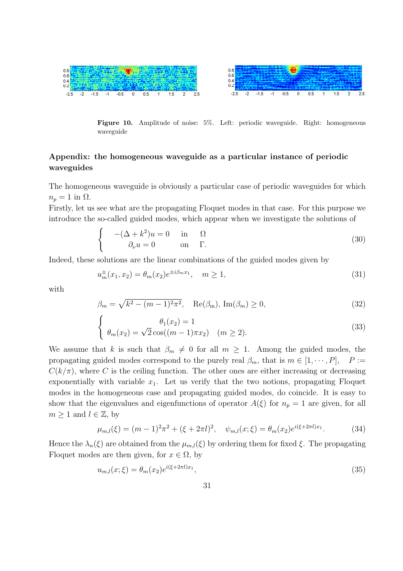

Figure 10. Amplitude of noise: 5%. Left: periodic waveguide. Right: homogeneous waveguide

# Appendix: the homogeneous waveguide as a particular instance of periodic waveguides

The homogeneous waveguide is obviously a particular case of periodic waveguides for which  $n_p = 1$  in  $\Omega$ .

Firstly, let us see what are the propagating Floquet modes in that case. For this purpose we introduce the so-called guided modes, which appear when we investigate the solutions of

$$
\begin{cases}\n-(\Delta + k^2)u = 0 & \text{in} \quad \Omega \\
\partial_\nu u = 0 & \text{on} \quad \Gamma.\n\end{cases}
$$
\n(30)

Indeed, these solutions are the linear combinations of the guided modes given by

$$
u_m^{\pm}(x_1, x_2) = \theta_m(x_2) e^{\pm i\beta_m x_1}, \quad m \ge 1,
$$
\n(31)

with

$$
\beta_m = \sqrt{k^2 - (m-1)^2 \pi^2}, \quad \text{Re}(\beta_m), \text{Im}(\beta_m) \ge 0,
$$
\n(32)

$$
\begin{cases}\n\theta_1(x_2) = 1 \\
\theta_m(x_2) = \sqrt{2}\cos((m-1)\pi x_2) & (m \ge 2).\n\end{cases}
$$
\n(33)

We assume that k is such that  $\beta_m \neq 0$  for all  $m \geq 1$ . Among the guided modes, the propagating guided modes correspond to the purely real  $\beta_m$ , that is  $m \in [1, \dots, P]$ ,  $P :=$  $C(k/\pi)$ , where C is the ceiling function. The other ones are either increasing or decreasing exponentially with variable  $x_1$ . Let us verify that the two notions, propagating Floquet modes in the homogeneous case and propagating guided modes, do coincide. It is easy to show that the eigenvalues and eigenfunctions of operator  $A(\xi)$  for  $n_p = 1$  are given, for all  $m \geq 1$  and  $l \in \mathbb{Z}$ , by

$$
\mu_{m,l}(\xi) = (m-1)^2 \pi^2 + (\xi + 2\pi l)^2, \quad \psi_{m,l}(x;\xi) = \theta_m(x_2) e^{i(\xi + 2\pi l)x_1}.
$$
 (34)

Hence the  $\lambda_n(\xi)$  are obtained from the  $\mu_{m,l}(\xi)$  by ordering them for fixed  $\xi$ . The propagating Floquet modes are then given, for  $x \in \Omega$ , by

$$
u_{m,l}(x;\xi) = \theta_m(x_2)e^{i(\xi + 2\pi l)x_1},\tag{35}
$$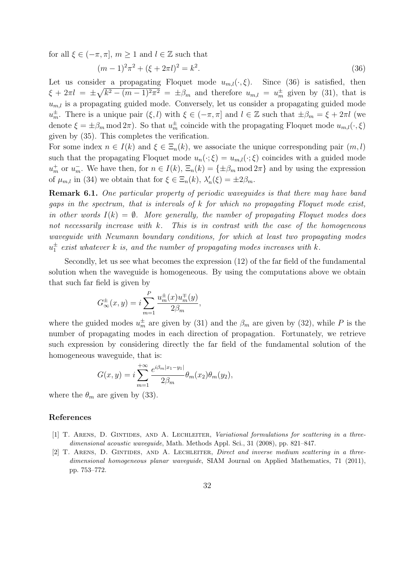for all  $\xi \in (-\pi, \pi]$ ,  $m \geq 1$  and  $l \in \mathbb{Z}$  such that

$$
(m-1)^2 \pi^2 + (\xi + 2\pi l)^2 = k^2.
$$
\n(36)

Let us consider a propagating Floquet mode  $u_{m,l}(\cdot,\xi)$ . Since (36) is satisfied, then  $\xi + 2\pi l = \pm \sqrt{k^2 - (m-1)^2 \pi^2} = \pm \beta_m$  and therefore  $u_{m,l} = u_m^{\pm}$  given by (31), that is  $u_{m,l}$  is a propagating guided mode. Conversely, let us consider a propagating guided mode  $u_m^{\pm}$ . There is a unique pair  $(\xi, l)$  with  $\xi \in (-\pi, \pi]$  and  $l \in \mathbb{Z}$  such that  $\pm \beta_m = \xi + 2\pi l$  (we denote  $\xi = \pm \beta_m \mod 2\pi$ . So that  $u_m^{\pm}$  coincide with the propagating Floquet mode  $u_{m,l}(\cdot, \xi)$ given by (35). This completes the verification.

For some index  $n \in I(k)$  and  $\xi \in \Xi_n(k)$ , we associate the unique corresponding pair  $(m, l)$ such that the propagating Floquet mode  $u_n(\cdot;\xi) = u_{m,l}(\cdot;\xi)$  coincides with a guided mode  $u_m^+$  or  $u_m^-$ . We have then, for  $n \in I(k)$ ,  $\Xi_n(k) = {\pm \beta_m \text{ mod } 2\pi}$  and by using the expression of  $\mu_{m,l}$  in (34) we obtain that for  $\xi \in \Xi_n(k)$ ,  $\lambda'_n(\xi) = \pm 2\beta_m$ .

Remark 6.1. One particular property of periodic waveguides is that there may have band gaps in the spectrum, that is intervals of  $k$  for which no propagating Floquet mode exist, in other words  $I(k) = \emptyset$ . More generally, the number of propagating Floquet modes does not necessarily increase with  $k$ . This is in contrast with the case of the homogeneous waveguide with Neumann boundary conditions, for which at least two propagating modes  $u_1^{\pm}$  exist whatever k is, and the number of propagating modes increases with k.

Secondly, let us see what becomes the expression (12) of the far field of the fundamental solution when the waveguide is homogeneous. By using the computations above we obtain that such far field is given by

$$
G_{\infty}^{\pm}(x,y) = i \sum_{m=1}^{P} \frac{u_m^{\pm}(x) u_m^{\mp}(y)}{2\beta_m},
$$

where the guided modes  $u_m^{\pm}$  are given by (31) and the  $\beta_m$  are given by (32), while P is the number of propagating modes in each direction of propagation. Fortunately, we retrieve such expression by considering directly the far field of the fundamental solution of the homogeneous waveguide, that is:

$$
G(x,y) = i \sum_{m=1}^{+\infty} \frac{e^{i\beta_m |x_1 - y_1|}}{2\beta_m} \theta_m(x_2) \theta_m(y_2),
$$

where the  $\theta_m$  are given by (33).

### References

- [1] T. ARENS, D. GINTIDES, AND A. LECHLEITER, Variational formulations for scattering in a threedimensional acoustic wavequide, Math. Methods Appl. Sci., 31 (2008), pp. 821–847.
- [2] T. Arens, D. Gintides, and A. Lechleiter, Direct and inverse medium scattering in a threedimensional homogeneous planar waveguide, SIAM Journal on Applied Mathematics, 71 (2011), pp. 753–772.